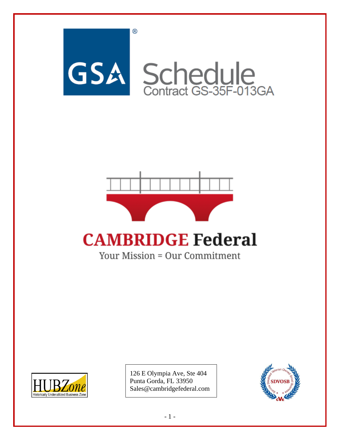



# **CAMBRIDGE Federal**

Your Mission = Our Commitment



126 E Olympia Ave, Ste 404 Punta Gorda, FL 33950 Sales@cambridgefederal.com

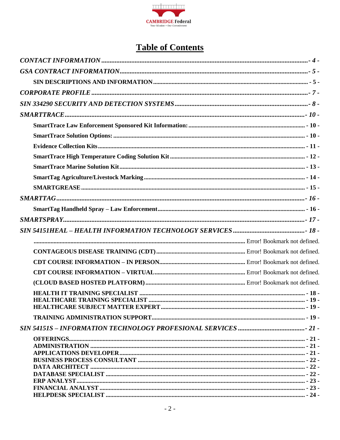

### **Table of Contents**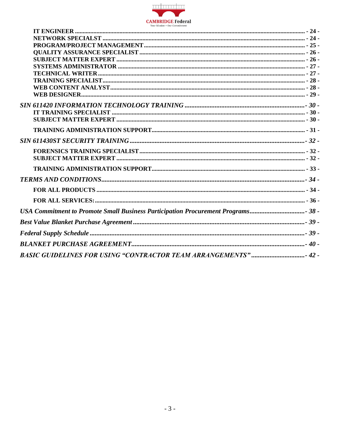

| USA Commitment to Promote Small Business Participation Procurement Programs 38- |  |
|---------------------------------------------------------------------------------|--|
|                                                                                 |  |
|                                                                                 |  |
|                                                                                 |  |
| BASIC GUIDELINES FOR USING "CONTRACTOR TEAM ARRANGEMENTS" 42 -                  |  |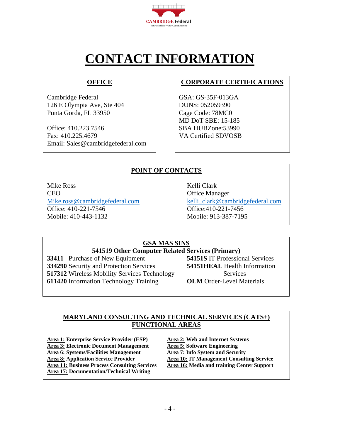

# **CONTACT INFORMATION**

#### **OFFICE**

<span id="page-3-0"></span>Cambridge Federal 126 E Olympia Ave, Ste 404 Punta Gorda, FL 33950

Office: 410.223.7546 Fax: 410.225.4679 Email: Sales@cambridgefederal.com

#### **CORPORATE CERTIFICATIONS**

GSA: GS-35F-013GA DUNS: 052059390 Cage Code: 78MC0 MD DoT SBE: 15-185 SBA HUBZone:53990 VA Certified SDVOSB

#### **POINT OF CONTACTS**

Mike Ross Kelli Clark CEO Office Manager [Mike.ross@cambridgefederal.com](mailto:Mike.ross@cambridgefederal.com) [kelli\\_clark@cambridgefederal.com](mailto:kelli_clark@cambridgefederal.com) Office: 410-221-7546 Office:410-221-7456 Mobile: 410-443-1132 Mobile: 913-387-7195

#### **GSA MAS SINS**

### **541519 Other Computer Related Services (Primary)**<br> **b** of New Equipment **54151S** IT Professional Services

 Purchase of New Equipment Security and Protection Services **54151HEAL** Health Information Wireless Mobility Services Technology Services Information Technology Training **OLM** Order-Level Materials

#### **MARYLAND CONSULTING AND TECHNICAL SERVICES (CATS+) FUNCTIONAL AREAS**

**Area 1: Enterprise Service Provider (ESP) Area 2: Web and Internet Systems Area 3:** Electronic Document Management<br> **Area 6:** Systems/Facilities Management<br> **Area 7:** Info System and Security **Area 6: Systems/Facilities Management Area 8: Application Service Provider Area 10: IT Management Consulting Service Area 11: Business Process Consulting Services Area 16: Media and training Center Support Area 17: Documentation/Technical Writing**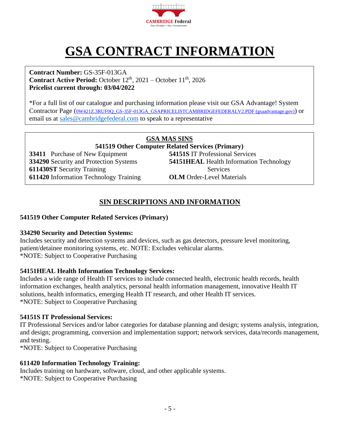

# **GSA CONTRACT INFORMATION**

<span id="page-4-0"></span>**Contract Number:** GS-35F-013GA **Contract Active Period:** October  $12<sup>th</sup>$ , 2021 – October  $11<sup>th</sup>$ , 2026 **Pricelist current through: 03/04/2022**

\*For a full list of our catalogue and purchasing information please visit our GSA Advantage! System Contractor Page ([0W421Z.3RUF0Q\\_GS-35F-013GA\\_GSAPRICELISTCAMBRIDGEFEDERALV2.PDF \(gsaadvantage.gov\)](https://www.gsaadvantage.gov/ref_text/GS35F013GA/0W421Z.3RUF0Q_GS-35F-013GA_GSAPRICELISTCAMBRIDGEFEDERALV2.PDF)) or email us at [sales@cambridgefederal.com](mailto:sales@cambridgefederal.com) to speak to a representative

#### **GSA MAS SINS 541519 Other Computer Related Services (Primary) 33411** Purchase of New Equipment **54151S** IT Professional Services **334290** Security and Protection Systems **54151HEAL** Health Information Technology **611430ST** Security Training Services **611420** Information Technology Training **OLM** Order-Level Materials

#### **SIN DESCRIPTIONS AND INFORMATION**

#### <span id="page-4-1"></span>**541519 Other Computer Related Services (Primary)**

#### **334290 Security and Detection Systems:**

Includes security and detection systems and devices, such as gas detectors, pressure level monitoring, patient/detainee monitoring systems, etc. NOTE: Excludes vehicular alarms. \*NOTE: Subject to Cooperative Purchasing

#### **54151HEAL Health Information Technology Services:**

Includes a wide range of Health IT services to include connected health, electronic health records, health information exchanges, health analytics, personal health information management, innovative Health IT solutions, health informatics, emerging Health IT research, and other Health IT services. \*NOTE: Subject to Cooperative Purchasing

#### **54151S IT Professional Services:**

IT Professional Services and/or labor categories for database planning and design; systems analysis, integration, and design; programming, conversion and implementation support; network services, data/records management, and testing.

\*NOTE: Subject to Cooperative Purchasing

#### **611420 Information Technology Training:**

Includes training on hardware, software, cloud, and other applicable systems. \*NOTE: Subject to Cooperative Purchasing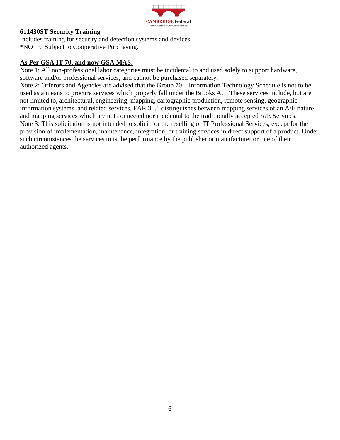

#### **611430ST Security Training**

Includes training for security and detection systems and devices \*NOTE: Subject to Cooperative Purchasing.

#### **As Per GSA IT 70, and now GSA MAS:**

Note 1: All non-professional labor categories must be incidental to and used solely to support hardware, software and/or professional services, and cannot be purchased separately.

Note 2: Offerors and Agencies are advised that the Group 70 – Information Technology Schedule is not to be used as a means to procure services which properly fall under the Brooks Act. These services include, but are not limited to, architectural, engineering, mapping, cartographic production, remote sensing, geographic information systems, and related services. FAR 36.6 distinguishes between mapping services of an A/E nature and mapping services which are not connected nor incidental to the traditionally accepted A/E Services. Note 3: This solicitation is not intended to solicit for the reselling of IT Professional Services, except for the provision of implementation, maintenance, integration, or training services in direct support of a product. Under such circumstances the services must be performance by the publisher or manufacturer or one of their authorized agents.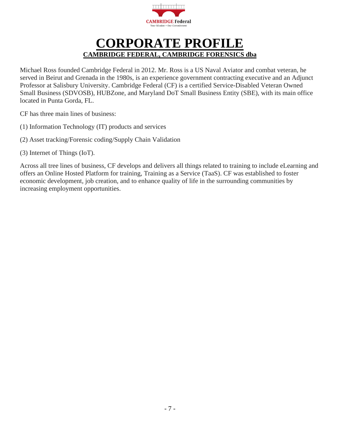

### **CORPORATE PROFILE CAMBRIDGE FEDERAL, CAMBRIDGE FORENSICS dba**

<span id="page-6-0"></span>Michael Ross founded Cambridge Federal in 2012. Mr. Ross is a US Naval Aviator and combat veteran, he served in Beirut and Grenada in the 1980s, is an experience government contracting executive and an Adjunct Professor at Salisbury University. Cambridge Federal (CF) is a certified Service-Disabled Veteran Owned Small Business (SDVOSB), HUBZone, and Maryland DoT Small Business Entity (SBE), with its main office located in Punta Gorda, FL.

CF has three main lines of business:

- (1) Information Technology (IT) products and services
- (2) Asset tracking/Forensic coding/Supply Chain Validation

(3) Internet of Things (IoT).

Across all tree lines of business, CF develops and delivers all things related to training to include eLearning and offers an Online Hosted Platform for training, Training as a Service (TaaS). CF was established to foster economic development, job creation, and to enhance quality of life in the surrounding communities by increasing employment opportunities.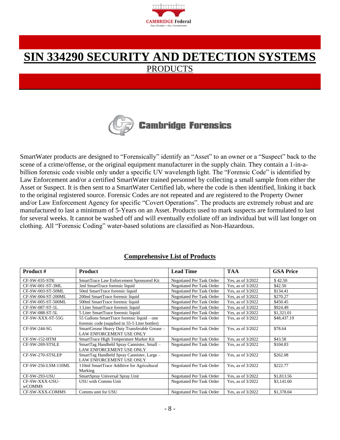

### <span id="page-7-0"></span>**SIN 334290 SECURITY AND DETECTION SYSTEMS** PRODUCTS



SmartWater products are designed to "Forensically" identify an "Asset" to an owner or a "Suspect" back to the scene of a crime/offense, or the original equipment manufacturer in the supply chain. They contain a 1-in-abillion forensic code visible only under a specific UV wavelength light. The "Forensic Code" is identified by Law Enforcement and/or a certified SmartWater trained personnel by collecting a small sample from either the Asset or Suspect. It is then sent to a SmartWater Certified lab, where the code is then identified, linking it back to the original registered source. Forensic Codes are not repeated and are registered to the Property Owner and/or Law Enforcement Agency for specific "Covert Operations". The products are extremely robust and are manufactured to last a minimum of 5-Years on an Asset. Products used to mark suspects are formulated to last for several weeks. It cannot be washed off and will eventually exfoliate off an individual but will last longer on clothing. All "Forensic Coding" water-based solutions are classified as Non-Hazardous.

#### **Comprehensive List of Products**

| <b>Product #</b>    | <b>Product</b>                                                                  | <b>Lead Time</b>          | <b>TAA</b>          | <b>GSA Price</b> |
|---------------------|---------------------------------------------------------------------------------|---------------------------|---------------------|------------------|
| CF-SW-035-STK       | SmartTrace Law Enforcement Sponsored Kit                                        | Negotiated Per Task Order | Yes, as of 3/2022   | \$42.50          |
| CF-SW-001-ST-3ML    | 3ml SmartTrace forensic liquid                                                  | Negotiated Per Task Order | Yes, as of 3/2022   | \$42.50          |
| CF-SW-003-ST-50ML   | 50ml SmartTrace forensic liquid                                                 | Negotiated Per Task Order | Yes, as of 3/2022   | \$134.41         |
| CF-SW-004-ST-200ML  | 200ml SmartTrace forensic liquid                                                | Negotiated Per Task Order | Yes, as of 3/2022   | \$270.27         |
| CF-SW-005-ST-500ML  | 500ml SmartTrace forensic liquid                                                | Negotiated Per Task Order | Yes, as of 3/2022   | \$450.45         |
| CF-SW-087-ST-1L     | 1 Liter SmartTrace forensic liquid                                              | Negotiated Per Task Order | Yes, as of 3/2022   | \$924.49         |
| CF-SW-088-ST-5L     | 5 Liter SmartTrace forensic liquid                                              | Negotiated Per Task Order | Yes, as of 3/2022   | \$1,321.01       |
| CF-SW-XXX-ST-55G    | 55 Gallons SmartTrace forensic liquid - one                                     | Negotiated Per Task Order | Yes, as of 3/2022   | \$48,437.19      |
|                     | forensic code (supplied in 55-5 Liter bottles)                                  |                           |                     |                  |
| CF-SW-244-SG        | SmartGrease Heavy Duty Transferable Grease -<br><b>LAW ENFORCEMENT USE ONLY</b> | Negotiated Per Task Order | Yes, as of 3/2022   | \$78.64          |
| $CF-SW-152-HTM$     | SmartTrace High Temperature Marker Kit                                          | Negotiated Per Task Order | Yes, as of 3/2022   | \$43.58          |
| CF-SW-269-STSLE     | SmartTag Handheld Spray Cannister, Small -<br>LAW ENFORCEMENT USE ONLY          | Negotiated Per Task Order | Yes, as of 3/2022   | \$104.83         |
| CF-SW-270-STSLEP    | SmartTag Handheld Spray Cannister, Large -<br>LAW ENFORCEMENT USE ONLY          | Negotiated Per Task Order | Yes, as of 3/2022   | \$262.08         |
| CF-SW-256-LSM-110ML | 110ml SmartTrace Additive for Agricultural<br>Marking                           | Negotiated Per Task Order | Yes, as of 3/2022   | \$222.77         |
| CF-SW-293-USU       | SmartSpray Universal Spray Unit                                                 | Negotiated Per Task Order | Yes, as of 3/2022   | \$1,813.56       |
| CF-SW-XXX-USU-      | USU with Comms Unit                                                             | Negotiated Per Task Order | Yes, as of 3/2022   | \$3,141.60       |
| <b>wCOMMS</b>       |                                                                                 |                           |                     |                  |
| CF-SW-XXX-COMMS     | Comms unit for USU                                                              | Negotiated Per Task Order | Yes, as of $3/2022$ | \$1,378.04       |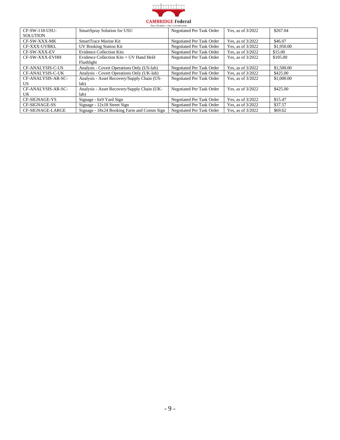

| CF-SW-118-USU-      | SmartSpray Solution for USU                 | Negotiated Per Task Order | Yes, as of 3/2022   | \$267.04   |
|---------------------|---------------------------------------------|---------------------------|---------------------|------------|
| <b>SOLUTION</b>     |                                             |                           |                     |            |
| CF-SW-XXX-MK        | SmartTrace Marine Kit                       | Negotiated Per Task Order | Yes, as of $3/2022$ | \$46.07    |
| <b>CF-XXX-UVBKL</b> | <b>UV Booking Station Kit</b>               | Negotiated Per Task Order | Yes, as of 3/2022   | \$1,950.00 |
| CF-SW-XXX-EV        | <b>Evidence Collection Kits</b>             | Negotiated Per Task Order | Yes, as of $3/2022$ | \$15.00    |
| CF-SW-XXX-EVHH      | Evidence Collection Kits $+$ UV Hand Held   | Negotiated Per Task Order | Yes, as of $3/2022$ | \$105.00   |
|                     | Flashlight                                  |                           |                     |            |
| CF-ANALYSIS-C-US    | Analysis - Covert Operations Only (US-lab)  | Negotiated Per Task Order | Yes, as of 3/2022   | \$1,500.00 |
| CF-ANALYSIS-C-UK    | Analysis - Covert Operations Only (UK-lab)  | Negotiated Per Task Order | Yes, as of $3/2022$ | \$425.00   |
| CF-ANALYSIS-AR-SC-  | Analysis - Asset Recovery/Supply Chain (US- | Negotiated Per Task Order | Yes, as of $3/2022$ | \$1,000.00 |
| US                  | lab)                                        |                           |                     |            |
| CF-ANALYSIS-AR-SC-  | Analysis - Asset Recovery/Supply Chain (UK- | Negotiated Per Task Order | Yes, as of $3/2022$ | \$425.00   |
| UK.                 | lab)                                        |                           |                     |            |
| CF-SIGNAGE-YS       | Signage - 6x9 Yard Sign                     | Negotiated Per Task Order | Yes, as of $3/2022$ | \$15.47    |
| CF-SIGNAGE-SS       | Signage - 12x18 Street Sign                 | Negotiated Per Task Order | Yes, as of $3/2022$ | \$37.57    |
| CF-SIGNAGE-LARGE    | Signage - 18x24 Booking Farm and Comm Sign  | Negotiated Per Task Order | Yes, as of $3/2022$ | \$69.62    |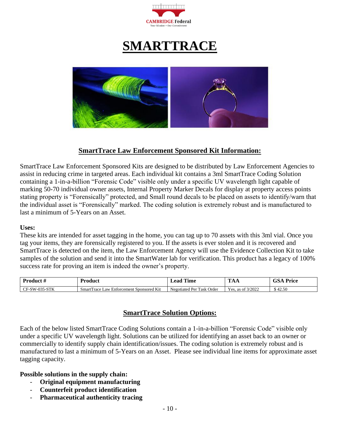

## **SMARTTRACE**

<span id="page-9-0"></span>

#### **SmartTrace Law Enforcement Sponsored Kit Information:**

<span id="page-9-1"></span>SmartTrace Law Enforcement Sponsored Kits are designed to be distributed by Law Enforcement Agencies to assist in reducing crime in targeted areas. Each individual kit contains a 3ml SmartTrace Coding Solution containing a 1-in-a-billion "Forensic Code" visible only under a specific UV wavelength light capable of marking 50-70 individual owner assets, Internal Property Marker Decals for display at property access points stating property is "Forensically" protected, and Small round decals to be placed on assets to identify/warn that the individual asset is "Forensically" marked. The coding solution is extremely robust and is manufactured to last a minimum of 5-Years on an Asset.

#### **Uses:**

These kits are intended for asset tagging in the home, you can tag up to 70 assets with this 3ml vial. Once you tag your items, they are forensically registered to you. If the assets is ever stolen and it is recovered and SmartTrace is detected on the item, the Law Enforcement Agency will use the Evidence Collection Kit to take samples of the solution and send it into the SmartWater lab for verification. This product has a legacy of 100% success rate for proving an item is indeed the owner's property.

| -Product -                                                                    | roduct                                                           | eac<br><b>ime</b>                                            | <b>TEN</b><br>                                                | $\mathbf{r}$ .<br>$\alpha$<br>`'rice |
|-------------------------------------------------------------------------------|------------------------------------------------------------------|--------------------------------------------------------------|---------------------------------------------------------------|--------------------------------------|
| CPTU<br>$\Omega$<br>.7777<br>$\mathbb{F}$ -SW- $\mathbb{C}^r$<br>. .<br>ים בי | <b>Enforcement Sponsored Kit</b><br>Law<br>Smart<br><b>Trace</b> | Order<br>$\sim$<br>$\mathbf{r}$<br>Negotiated<br>Task<br>Per | $\sim$ $\sim$<br>3/2022<br>$V \triangle C$<br>as of<br>- CD - | .42.50                               |

#### **SmartTrace Solution Options:**

<span id="page-9-2"></span>Each of the below listed SmartTrace Coding Solutions contain a 1-in-a-billion "Forensic Code" visible only under a specific UV wavelength light. Solutions can be utilized for identifying an asset back to an owner or commercially to identify supply chain identification/issues. The coding solution is extremely robust and is manufactured to last a minimum of 5-Years on an Asset. Please see individual line items for approximate asset tagging capacity.

#### **Possible solutions in the supply chain:**

- **Original equipment manufacturing**
- **Counterfeit product identification**
- **Pharmaceutical authenticity tracing**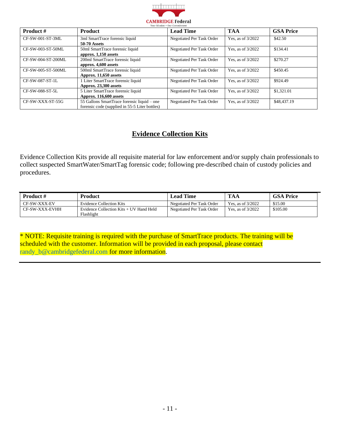

| <b>Product #</b>   | <b>Product</b>                                                                                | <b>Lead Time</b>          | <b>TAA</b>          | <b>GSA Price</b> |
|--------------------|-----------------------------------------------------------------------------------------------|---------------------------|---------------------|------------------|
| CF-SW-001-ST-3ML   | 3ml SmartTrace forensic liquid<br><b>50-70 Assets</b>                                         | Negotiated Per Task Order | Yes, as of $3/2022$ | \$42.50          |
| CF-SW-003-ST-50ML  | 50ml SmartTrace forensic liquid<br>approx. 1,150 assets                                       | Negotiated Per Task Order | Yes, as of 3/2022   | \$134.41         |
| CF-SW-004-ST-200ML | 200ml SmartTrace forensic liquid<br>approx. 4,600 assets                                      | Negotiated Per Task Order | Yes, as of 3/2022   | \$270.27         |
| CF-SW-005-ST-500ML | 500ml SmartTrace forensic liquid<br>Approx. 11,650 assets                                     | Negotiated Per Task Order | Yes, as of 3/2022   | \$450.45         |
| CF-SW-087-ST-1L    | 1 Liter SmartTrace forensic liquid<br>Approx. 23,300 assets                                   | Negotiated Per Task Order | Yes, as of $3/2022$ | \$924.49         |
| CF-SW-088-ST-5L    | 5 Liter SmartTrace forensic liquid<br>Approx. 116,600 assets                                  | Negotiated Per Task Order | Yes, as of 3/2022   | \$1,321.01       |
| CF-SW-XXX-ST-55G   | 55 Gallons SmartTrace forensic liquid – one<br>forensic code (supplied in 55-5 Liter bottles) | Negotiated Per Task Order | Yes, as of 3/2022   | \$48,437.19      |

#### **Evidence Collection Kits**

<span id="page-10-0"></span>Evidence Collection Kits provide all requisite material for law enforcement and/or supply chain professionals to collect suspected SmartWater/SmartTag forensic code; following pre-described chain of custody policies and procedures.

| <b>Product</b> # | <b>Product</b>                                        | Lead Time                 | TAA                 | <b>GSA Price</b> |
|------------------|-------------------------------------------------------|---------------------------|---------------------|------------------|
| CF-SW-XXX-EV     | Evidence Collection Kits                              | Negotiated Per Task Order | Yes. as of $3/2022$ | \$15.00          |
| CF-SW-XXX-EVHH   | Evidence Collection Kits + UV Hand Held<br>Flashlight | Negotiated Per Task Order | Yes, as of $3/2022$ | \$105.00         |

\* NOTE: Requisite training is required with the purchase of SmartTrace products. The training will be scheduled with the customer. Information will be provided in each proposal, please contact [randy\\_b@cambridgefederal.com](mailto:randy_b@cambridgefederal.com) for more information.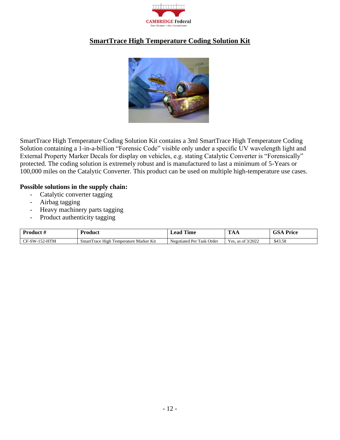

#### <span id="page-11-0"></span>**SmartTrace High Temperature Coding Solution Kit**



SmartTrace High Temperature Coding Solution Kit contains a 3ml SmartTrace High Temperature Coding Solution containing a 1-in-a-billion "Forensic Code" visible only under a specific UV wavelength light and External Property Marker Decals for display on vehicles, e.g. stating Catalytic Converter is "Forensically" protected. The coding solution is extremely robust and is manufactured to last a minimum of 5-Years or 100,000 miles on the Catalytic Converter. This product can be used on multiple high-temperature use cases.

#### **Possible solutions in the supply chain:**

- Catalytic converter tagging
- Airbag tagging
- Heavy machinery parts tagging
- Product authenticity tagging

| Product               | Product                                     | .<br>Time<br>Lead         | $\sim$<br>AА         | $r_{\rm{price}}$ |
|-----------------------|---------------------------------------------|---------------------------|----------------------|------------------|
| -152-HTM<br>$CF-SW-1$ | e High Temperature Marker Kit<br>SmartTrace | Negotiated Per Task Order | as of 3/2022<br>Yes. | \$43.58          |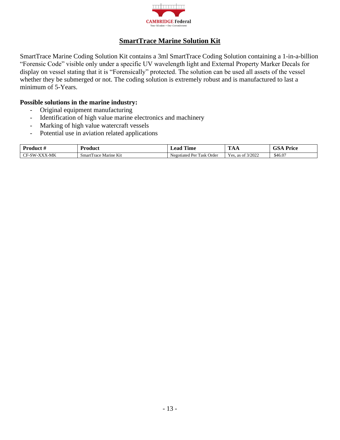

#### **SmartTrace Marine Solution Kit**

<span id="page-12-0"></span>SmartTrace Marine Coding Solution Kit contains a 3ml SmartTrace Coding Solution containing a 1-in-a-billion "Forensic Code" visible only under a specific UV wavelength light and External Property Marker Decals for display on vessel stating that it is "Forensically" protected. The solution can be used all assets of the vessel whether they be submerged or not. The coding solution is extremely robust and is manufactured to last a minimum of 5-Years.

#### **Possible solutions in the marine industry:**

- Original equipment manufacturing
- Identification of high value marine electronics and machinery
- Marking of high value watercraft vessels
- Potential use in aviation related applications

| Product.<br>≖     | ′roduct                      | $T = T$<br><b>ime</b><br>eac                   | <b>TEN</b><br>.                                  | $\alpha$<br>™rice |
|-------------------|------------------------------|------------------------------------------------|--------------------------------------------------|-------------------|
| X-MK<br>. -SW-XXV | Marine Kit<br>Smar'<br>Trace | m<br>Order<br>Par<br>Task<br>Negotiated<br>. . | 30000<br>$\sim$ $\sim$<br>Yes.<br>as of $3/2022$ | \$46.07           |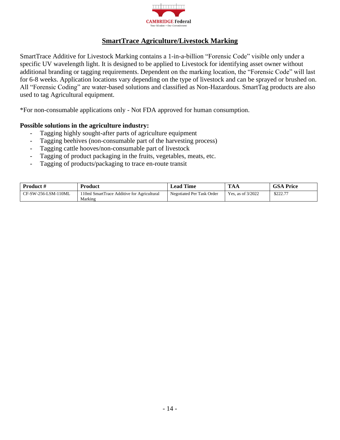

#### **SmartTrace Agriculture/Livestock Marking**

<span id="page-13-0"></span>SmartTrace Additive for Livestock Marking contains a 1-in-a-billion "Forensic Code" visible only under a specific UV wavelength light. It is designed to be applied to Livestock for identifying asset owner without additional branding or tagging requirements. Dependent on the marking location, the "Forensic Code" will last for 6-8 weeks. Application locations vary depending on the type of livestock and can be sprayed or brushed on. All "Forensic Coding" are water-based solutions and classified as Non-Hazardous. SmartTag products are also used to tag Agricultural equipment.

\*For non-consumable applications only - Not FDA approved for human consumption.

#### **Possible solutions in the agriculture industry:**

- Tagging highly sought-after parts of agriculture equipment
- Tagging beehives (non-consumable part of the harvesting process)
- Tagging cattle hooves/non-consumable part of livestock
- Tagging of product packaging in the fruits, vegetables, meats, etc.
- Tagging of products/packaging to trace en-route transit

| <b>Product #</b>    | <b>Product</b>                             | <b>∟ead Time</b>          | <b>TAA</b>          | <b>GSA Price</b> |
|---------------------|--------------------------------------------|---------------------------|---------------------|------------------|
| CF-SW-256-LSM-110ML | 110ml SmartTrace Additive for Agricultural | Negotiated Per Task Order | Yes, as of $3/2022$ | \$222.77         |
|                     | Marking                                    |                           |                     |                  |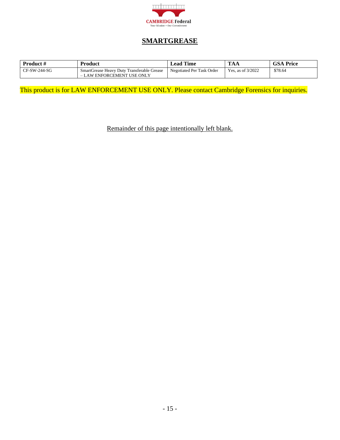

#### **SMARTGREASE**

<span id="page-14-0"></span>

| <b>Product</b> # | Product                                                                  | <b>Lead Time</b>          | $\mathbf{m}$<br>ЖA | <b>GSA Price</b> |
|------------------|--------------------------------------------------------------------------|---------------------------|--------------------|------------------|
| CF-SW-244-SG     | SmartGrease Heavy Duty Transferable Grease<br>- LAW ENFORCEMENT USE ONLY | Negotiated Per Task Order | Yes, as of 3/2022  | \$78.64          |

This product is for LAW ENFORCEMENT USE ONLY. Please contact Cambridge Forensics for inquiries.

Remainder of this page intentionally left blank.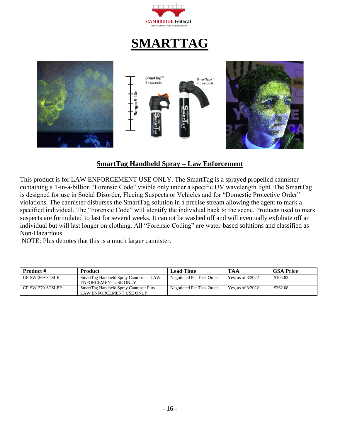

## **SMARTTAG**

<span id="page-15-0"></span>

#### **SmartTag Handheld Spray – Law Enforcement**

<span id="page-15-1"></span>This product is for LAW ENFORCEMENT USE ONLY. The SmartTag is a sprayed propelled cannister containing a 1-in-a-billion "Forensic Code" visible only under a specific UV wavelength light. The SmartTag is designed for use in Social Disorder, Fleeing Suspects or Vehicles and for "Domestic Protective Order" violations. The cannister disburses the SmartTag solution in a precise stream allowing the agent to mark a specified individual. The "Forensic Code" will identify the individual back to the scene. Products used to mark suspects are formulated to last for several weeks. It cannot be washed off and will eventually exfoliate off an individual but will last longer on clothing. All "Forensic Coding" are water-based solutions and classified as Non-Hazardous.

NOTE: Plus denotes that this is a much larger cannister.

| <b>Product #</b> | <b>Product</b>                                                       | <b>Lead Time</b>          | <b>TAA</b>          | <b>GSA Price</b> |
|------------------|----------------------------------------------------------------------|---------------------------|---------------------|------------------|
| CF-SW-269-STSLE  | SmartTag Handheld Spray Cannister – LAW<br>ENFORCEMENT USE ONLY      | Negotiated Per Task Order | Yes, as of $3/2022$ | \$104.83         |
| CF-SW-270-STSLEP | SmartTag Handheld Spray Cannister Plus -<br>LAW ENFORCEMENT USE ONLY | Negotiated Per Task Order | Yes. as of $3/2022$ | \$262.08         |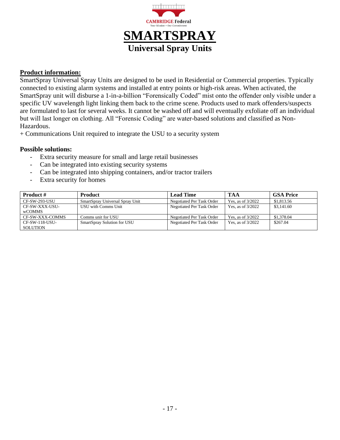

#### <span id="page-16-0"></span>**Product information:**

SmartSpray Universal Spray Units are designed to be used in Residential or Commercial properties. Typically connected to existing alarm systems and installed at entry points or high-risk areas. When activated, the SmartSpray unit will disburse a 1-in-a-billion "Forensically Coded" mist onto the offender only visible under a specific UV wavelength light linking them back to the crime scene. Products used to mark offenders/suspects are formulated to last for several weeks. It cannot be washed off and will eventually exfoliate off an individual but will last longer on clothing. All "Forensic Coding" are water-based solutions and classified as Non-Hazardous.

+ Communications Unit required to integrate the USU to a security system

#### **Possible solutions:**

- Extra security measure for small and large retail businesses
- Can be integrated into existing security systems
- Can be integrated into shipping containers, and/or tractor trailers
- Extra security for homes

| <b>Product #</b>                  | <b>Product</b>                  | <b>Lead Time</b>          | TAA                 | <b>GSA Price</b> |
|-----------------------------------|---------------------------------|---------------------------|---------------------|------------------|
| CF-SW-293-USU                     | SmartSpray Universal Spray Unit | Negotiated Per Task Order | Yes, as of $3/2022$ | \$1,813.56       |
| CF-SW-XXX-USU-<br><b>wCOMMS</b>   | USU with Comms Unit             | Negotiated Per Task Order | Yes, as of $3/2022$ | \$3,141.60       |
| CF-SW-XXX-COMMS                   | Comms unit for USU              | Negotiated Per Task Order | Yes, as of $3/2022$ | \$1,378.04       |
| CF-SW-118-USU-<br><b>SOLUTION</b> | SmartSpray Solution for USU     | Negotiated Per Task Order | Yes, as of $3/2022$ | \$267.04         |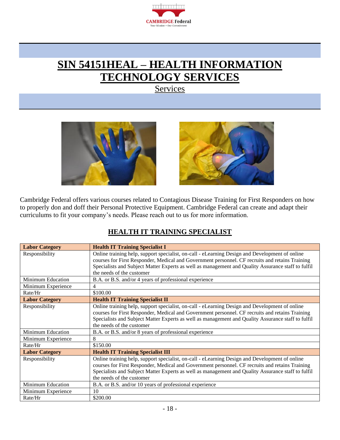

### <span id="page-17-0"></span>**SIN 54151HEAL – HEALTH INFORMATION TECHNOLOGY SERVICES**

**Services** 





Cambridge Federal offers various courses related to Contagious Disease Training for First Responders on how to properly don and doff their Personal Protective Equipment. Cambridge Federal can create and adapt their curriculums to fit your company's needs. Please reach out to us for more information.

#### **HEALTH IT TRAINING SPECIALIST**

<span id="page-17-1"></span>

| <b>Labor Category</b>    | <b>Health IT Training Specialist I</b>                                                             |
|--------------------------|----------------------------------------------------------------------------------------------------|
| Responsibility           | Online training help, support specialist, on-call - eLearning Design and Development of online     |
|                          | courses for First Responder, Medical and Government personnel. CF recruits and retains Training    |
|                          | Specialists and Subject Matter Experts as well as management and Quality Assurance staff to fulfil |
|                          | the needs of the customer                                                                          |
| <b>Minimum Education</b> | B.A. or B.S. and/or 4 years of professional experience                                             |
| Minimum Experience       | 4                                                                                                  |
| Rate/Hr                  | \$100.00                                                                                           |
| <b>Labor Category</b>    | <b>Health IT Training Specialist II</b>                                                            |
| Responsibility           | Online training help, support specialist, on-call - eLearning Design and Development of online     |
|                          | courses for First Responder, Medical and Government personnel. CF recruits and retains Training    |
|                          | Specialists and Subject Matter Experts as well as management and Quality Assurance staff to fulfil |
|                          | the needs of the customer                                                                          |
| Minimum Education        | B.A. or B.S. and/or 8 years of professional experience                                             |
| Minimum Experience       | 8                                                                                                  |
| Rate/Hr                  | \$150.00                                                                                           |
| <b>Labor Category</b>    | <b>Health IT Training Specialist III</b>                                                           |
| Responsibility           | Online training help, support specialist, on-call - eLearning Design and Development of online     |
|                          | courses for First Responder, Medical and Government personnel. CF recruits and retains Training    |
|                          | Specialists and Subject Matter Experts as well as management and Quality Assurance staff to fulfil |
|                          | the needs of the customer                                                                          |
| Minimum Education        | B.A. or B.S. and/or 10 years of professional experience                                            |
| Minimum Experience       | 10                                                                                                 |
| Rate/Hr                  | \$200.00                                                                                           |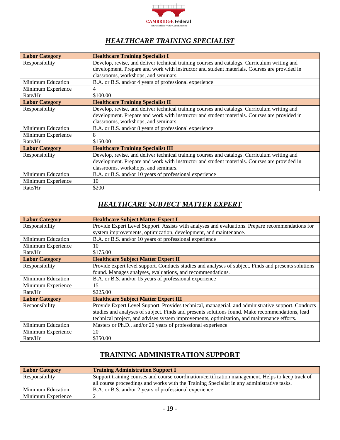

### *HEALTHCARE TRAINING SPECIALIST*

<span id="page-18-0"></span>

| <b>Labor Category</b>    | <b>Healthcare Training Specialist I</b>                                                      |
|--------------------------|----------------------------------------------------------------------------------------------|
| Responsibility           | Develop, revise, and deliver technical training courses and catalogs. Curriculum writing and |
|                          | development. Prepare and work with instructor and student materials. Courses are provided in |
|                          | classrooms, workshops, and seminars.                                                         |
| <b>Minimum Education</b> | B.A. or B.S. and/or 4 years of professional experience                                       |
| Minimum Experience       | 4                                                                                            |
| Rate/Hr                  | \$100.00                                                                                     |
| <b>Labor Category</b>    | <b>Healthcare Training Specialist II</b>                                                     |
| Responsibility           | Develop, revise, and deliver technical training courses and catalogs. Curriculum writing and |
|                          | development. Prepare and work with instructor and student materials. Courses are provided in |
|                          | classrooms, workshops, and seminars.                                                         |
| <b>Minimum Education</b> | B.A. or B.S. and/or 8 years of professional experience                                       |
| Minimum Experience       | 8                                                                                            |
| Rate/Hr                  | \$150.00                                                                                     |
| <b>Labor Category</b>    | <b>Healthcare Training Specialist III</b>                                                    |
| Responsibility           | Develop, revise, and deliver technical training courses and catalogs. Curriculum writing and |
|                          | development. Prepare and work with instructor and student materials. Courses are provided in |
|                          | classrooms, workshops, and seminars.                                                         |
| Minimum Education        | B.A. or B.S. and/or 10 years of professional experience                                      |
| Minimum Experience       | 10                                                                                           |
| Rate/Hr                  | \$200                                                                                        |

#### *HEALTHCARE SUBJECT MATTER EXPERT*

<span id="page-18-1"></span>

| <b>Labor Category</b>    | <b>Healthcare Subject Matter Expert I</b>                                                            |
|--------------------------|------------------------------------------------------------------------------------------------------|
| Responsibility           | Provide Expert Level Support. Assists with analyses and evaluations. Prepare recommendations for     |
|                          | system improvements, optimization, development, and maintenance.                                     |
| <b>Minimum Education</b> | B.A. or B.S. and/or 10 years of professional experience                                              |
| Minimum Experience       | 10                                                                                                   |
| Rate/Hr                  | \$175.00                                                                                             |
| <b>Labor Category</b>    | <b>Healthcare Subject Matter Expert II</b>                                                           |
| Responsibility           | Provide expert level support. Conducts studies and analyses of subject. Finds and presents solutions |
|                          | found. Manages analyses, evaluations, and recommendations.                                           |
| <b>Minimum Education</b> | B.A. or B.S. and/or 15 years of professional experience                                              |
| Minimum Experience       | 15                                                                                                   |
| Rate/Hr                  | \$225.00                                                                                             |
| <b>Labor Category</b>    | <b>Healthcare Subject Matter Expert III</b>                                                          |
| Responsibility           | Provide Expert Level Support. Provides technical, managerial, and administrative support. Conducts   |
|                          | studies and analyses of subject. Finds and presents solutions found. Make recommendations, lead      |
|                          | technical project, and advises system improvements, optimization, and maintenance efforts.           |
| <b>Minimum Education</b> | Masters or Ph.D., and/or 20 years of professional experience                                         |
| Minimum Experience       | 20                                                                                                   |
| Rate/Hr                  | \$350.00                                                                                             |

#### **TRAINING ADMINISTRATION SUPPORT**

<span id="page-18-2"></span>

| <b>Labor Category</b> | <b>Training Administration Support I</b>                                                          |
|-----------------------|---------------------------------------------------------------------------------------------------|
| Responsibility        | Support training courses and course coordination/certification management. Helps to keep track of |
|                       | all course proceedings and works with the Training Specialist in any administrative tasks.        |
| Minimum Education     | B.A. or B.S. and/or 2 years of professional experience                                            |
| Minimum Experience    |                                                                                                   |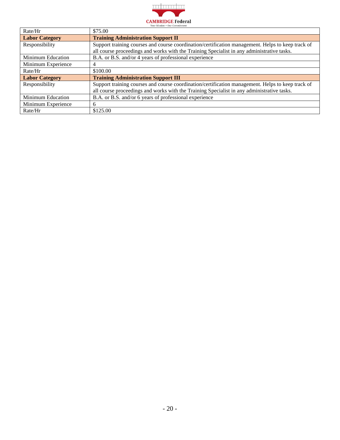

| Rate/Hr               | \$75.00                                                                                           |
|-----------------------|---------------------------------------------------------------------------------------------------|
| <b>Labor Category</b> | <b>Training Administration Support II</b>                                                         |
| Responsibility        | Support training courses and course coordination/certification management. Helps to keep track of |
|                       | all course proceedings and works with the Training Specialist in any administrative tasks.        |
| Minimum Education     | B.A. or B.S. and/or 4 years of professional experience                                            |
| Minimum Experience    | 4                                                                                                 |
| Rate/Hr               | \$100.00                                                                                          |
| <b>Labor Category</b> | <b>Training Administration Support III</b>                                                        |
| Responsibility        | Support training courses and course coordination/certification management. Helps to keep track of |
|                       | all course proceedings and works with the Training Specialist in any administrative tasks.        |
| Minimum Education     | B.A. or B.S. and/or 6 years of professional experience                                            |
| Minimum Experience    | 6                                                                                                 |
| Rate/Hr               | \$125.00                                                                                          |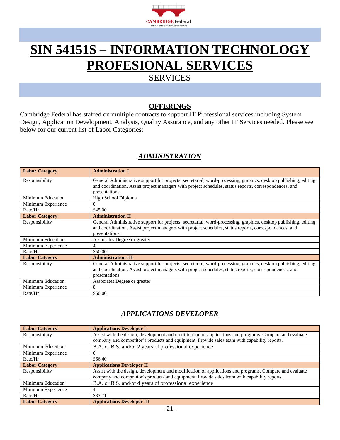

## <span id="page-20-0"></span>**SIN 54151S – INFORMATION TECHNOLOGY PROFESIONAL SERVICES**

### **SERVICES**

#### **OFFERINGS**

<span id="page-20-1"></span>Cambridge Federal has staffed on multiple contracts to support IT Professional services including System Design, Application Development, Analysis, Quality Assurance, and any other IT Services needed. Please see below for our current list of Labor Categories:

#### *ADMINISTRATION*

<span id="page-20-2"></span>

| <b>Labor Category</b>    | <b>Administration I</b>                                                                                                                                                                                                                      |
|--------------------------|----------------------------------------------------------------------------------------------------------------------------------------------------------------------------------------------------------------------------------------------|
| Responsibility           | General Administrative support for projects; secretarial, word-processing, graphics, desktop publishing, editing<br>and coordination. Assist project managers with project schedules, status reports, correspondences, and<br>presentations. |
| <b>Minimum Education</b> | High School Diploma                                                                                                                                                                                                                          |
| Minimum Experience       | $\Omega$                                                                                                                                                                                                                                     |
| Rate/Hr                  | \$45.00                                                                                                                                                                                                                                      |
| <b>Labor Category</b>    | <b>Administration II</b>                                                                                                                                                                                                                     |
| Responsibility           | General Administrative support for projects; secretarial, word-processing, graphics, desktop publishing, editing<br>and coordination. Assist project managers with project schedules, status reports, correspondences, and<br>presentations. |
| <b>Minimum Education</b> | Associates Degree or greater                                                                                                                                                                                                                 |
| Minimum Experience       | 4                                                                                                                                                                                                                                            |
| Rate/Hr                  | \$50.00                                                                                                                                                                                                                                      |
| <b>Labor Category</b>    | <b>Administration III</b>                                                                                                                                                                                                                    |
| Responsibility           | General Administrative support for projects; secretarial, word-processing, graphics, desktop publishing, editing<br>and coordination. Assist project managers with project schedules, status reports, correspondences, and<br>presentations. |
| <b>Minimum Education</b> | Associates Degree or greater                                                                                                                                                                                                                 |
| Minimum Experience       | 8                                                                                                                                                                                                                                            |
| Rate/Hr                  | \$60.00                                                                                                                                                                                                                                      |

### *APPLICATIONS DEVELOPER*

<span id="page-20-3"></span>

| <b>Labor Category</b> | <b>Applications Developer I</b>                                                                         |
|-----------------------|---------------------------------------------------------------------------------------------------------|
| Responsibility        | Assist with the design, development and modification of applications and programs. Compare and evaluate |
|                       | company and competitor's products and equipment. Provide sales team with capability reports.            |
| Minimum Education     | B.A. or B.S. and/or 2 years of professional experience                                                  |
| Minimum Experience    |                                                                                                         |
| Rate/Hr               | \$66.40                                                                                                 |
| <b>Labor Category</b> | <b>Applications Developer II</b>                                                                        |
| Responsibility        | Assist with the design, development and modification of applications and programs. Compare and evaluate |
|                       | company and competitor's products and equipment. Provide sales team with capability reports.            |
| Minimum Education     | B.A. or B.S. and/or 4 years of professional experience                                                  |
| Minimum Experience    |                                                                                                         |
| Rate/Hr               | \$87.71                                                                                                 |
| <b>Labor Category</b> | <b>Applications Developer III</b>                                                                       |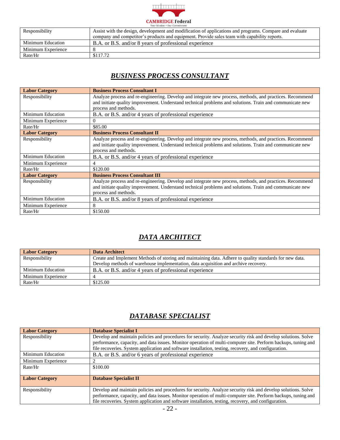

| AVAS STAAVSALIL - VALL VASSALILLILLILLI |                                                                                                         |  |
|-----------------------------------------|---------------------------------------------------------------------------------------------------------|--|
| Responsibility                          | Assist with the design, development and modification of applications and programs. Compare and evaluate |  |
|                                         | company and competitor's products and equipment. Provide sales team with capability reports.            |  |
| Minimum Education                       | B.A. or B.S. and/or 8 years of professional experience                                                  |  |
| Minimum Experience                      |                                                                                                         |  |
| Rate/Hr                                 | \$117.72                                                                                                |  |

#### *BUSINESS PROCESS CONSULTANT*

<span id="page-21-0"></span>

| <b>Labor Category</b>    | <b>Business Process Consultant I</b>                                                                                                                                                                                                         |
|--------------------------|----------------------------------------------------------------------------------------------------------------------------------------------------------------------------------------------------------------------------------------------|
| Responsibility           | Analyze process and re-engineering. Develop and integrate new process, methods, and practices. Recommend<br>and initiate quality improvement. Understand technical problems and solutions. Train and communicate new<br>process and methods. |
| Minimum Education        | B.A. or B.S. and/or 4 years of professional experience                                                                                                                                                                                       |
| Minimum Experience       |                                                                                                                                                                                                                                              |
| Rate/Hr                  | \$85.00                                                                                                                                                                                                                                      |
| <b>Labor Category</b>    | <b>Business Process Consultant II</b>                                                                                                                                                                                                        |
| Responsibility           | Analyze process and re-engineering. Develop and integrate new process, methods, and practices. Recommend<br>and initiate quality improvement. Understand technical problems and solutions. Train and communicate new<br>process and methods. |
| <b>Minimum Education</b> | B.A. or B.S. and/or 4 years of professional experience                                                                                                                                                                                       |
| Minimum Experience       | $\overline{4}$                                                                                                                                                                                                                               |
| Rate/Hr                  | \$120.00                                                                                                                                                                                                                                     |
| <b>Labor Category</b>    | <b>Business Process Consultant III</b>                                                                                                                                                                                                       |
| Responsibility           | Analyze process and re-engineering. Develop and integrate new process, methods, and practices. Recommend<br>and initiate quality improvement. Understand technical problems and solutions. Train and communicate new<br>process and methods. |
| <b>Minimum Education</b> | B.A. or B.S. and/or 8 years of professional experience                                                                                                                                                                                       |
| Minimum Experience       | 8                                                                                                                                                                                                                                            |
| Rate/Hr                  | \$150.00                                                                                                                                                                                                                                     |

### *DATA ARCHITECT*

<span id="page-21-1"></span>

| <b>Labor Category</b> | Data Architect                                                                                          |
|-----------------------|---------------------------------------------------------------------------------------------------------|
| Responsibility        | Create and Implement Methods of storing and maintaining data. Adhere to quality standards for new data. |
|                       | Develop methods of warehouse implementation, data acquisition and archive recovery.                     |
| Minimum Education     | B.A. or B.S. and/or 4 years of professional experience                                                  |
| Minimum Experience    |                                                                                                         |
| Rate/Hr               | \$125.00                                                                                                |

#### *DATABASE SPECIALIST*

<span id="page-21-2"></span>

| <b>Labor Category</b> | <b>Database Specialist I</b>                                                                                  |
|-----------------------|---------------------------------------------------------------------------------------------------------------|
| Responsibility        | Develop and maintain policies and procedures for security. Analyze security risk and develop solutions. Solve |
|                       | performance, capacity, and data issues. Monitor operation of multi-computer site. Perform backups, tuning and |
|                       | file recoveries. System application and software installation, testing, recovery, and configuration.          |
| Minimum Education     | B.A. or B.S. and/or 6 years of professional experience                                                        |
| Minimum Experience    |                                                                                                               |
| Rate/Hr               | \$100.00                                                                                                      |
| <b>Labor Category</b> | <b>Database Specialist II</b>                                                                                 |
| Responsibility        | Develop and maintain policies and procedures for security. Analyze security risk and develop solutions. Solve |
|                       | performance, capacity, and data issues. Monitor operation of multi-computer site. Perform backups, tuning and |
|                       | file recoveries. System application and software installation, testing, recovery, and configuration.          |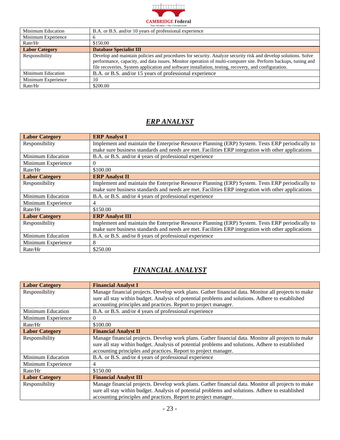

| Minimum Education     | B.A. or B.S. and/or 10 years of professional experience                                                                                                                                                                                                                                                                                |
|-----------------------|----------------------------------------------------------------------------------------------------------------------------------------------------------------------------------------------------------------------------------------------------------------------------------------------------------------------------------------|
| Minimum Experience    |                                                                                                                                                                                                                                                                                                                                        |
| Rate/Hr               | \$150.00                                                                                                                                                                                                                                                                                                                               |
| <b>Labor Category</b> | <b>Database Specialist III</b>                                                                                                                                                                                                                                                                                                         |
| Responsibility        | Develop and maintain policies and procedures for security. Analyze security risk and develop solutions. Solve<br>performance, capacity, and data issues. Monitor operation of multi-computer site. Perform backups, tuning and<br>file recoveries. System application and software installation, testing, recovery, and configuration. |
| Minimum Education     | B.A. or B.S. and/or 15 years of professional experience                                                                                                                                                                                                                                                                                |
| Minimum Experience    | 10                                                                                                                                                                                                                                                                                                                                     |
| Rate/Hr               | \$200.00                                                                                                                                                                                                                                                                                                                               |

#### *ERP ANALYST*

<span id="page-22-0"></span>

| <b>Labor Category</b>    | <b>ERP Analyst I</b>                                                                               |
|--------------------------|----------------------------------------------------------------------------------------------------|
| Responsibility           | Implement and maintain the Enterprise Resource Planning (ERP) System. Tests ERP periodically to    |
|                          | make sure business standards and needs are met. Facilities ERP integration with other applications |
| <b>Minimum Education</b> | B.A. or B.S. and/or 4 years of professional experience                                             |
| Minimum Experience       | $\Omega$                                                                                           |
| Rate/Hr                  | \$100.00                                                                                           |
| <b>Labor Category</b>    | <b>ERP Analyst II</b>                                                                              |
| Responsibility           | Implement and maintain the Enterprise Resource Planning (ERP) System. Tests ERP periodically to    |
|                          | make sure business standards and needs are met. Facilities ERP integration with other applications |
| Minimum Education        | B.A. or B.S. and/or 4 years of professional experience                                             |
| Minimum Experience       | 4                                                                                                  |
| Rate/Hr                  | \$150.00                                                                                           |
| <b>Labor Category</b>    | <b>ERP Analyst III</b>                                                                             |
| Responsibility           | Implement and maintain the Enterprise Resource Planning (ERP) System. Tests ERP periodically to    |
|                          | make sure business standards and needs are met. Facilities ERP integration with other applications |
| <b>Minimum Education</b> | B.A. or B.S. and/or 8 years of professional experience                                             |
| Minimum Experience       | 8                                                                                                  |
| Rate/Hr                  | \$250.00                                                                                           |

#### *FINANCIAL ANALYST*

<span id="page-22-1"></span>

| <b>Labor Category</b>    | <b>Financial Analyst I</b>                                                                         |
|--------------------------|----------------------------------------------------------------------------------------------------|
| Responsibility           | Manage financial projects. Develop work plans. Gather financial data. Monitor all projects to make |
|                          | sure all stay within budget. Analysis of potential problems and solutions. Adhere to established   |
|                          | accounting principles and practices. Report to project manager.                                    |
| Minimum Education        | B.A. or B.S. and/or 4 years of professional experience                                             |
| Minimum Experience       | 0                                                                                                  |
| Rate/Hr                  | \$100.00                                                                                           |
| <b>Labor Category</b>    | <b>Financial Analyst II</b>                                                                        |
| Responsibility           | Manage financial projects. Develop work plans. Gather financial data. Monitor all projects to make |
|                          | sure all stay within budget. Analysis of potential problems and solutions. Adhere to established   |
|                          | accounting principles and practices. Report to project manager.                                    |
| <b>Minimum Education</b> | B.A. or B.S. and/or 4 years of professional experience                                             |
| Minimum Experience       | 4                                                                                                  |
| Rate/Hr                  | \$150.00                                                                                           |
| <b>Labor Category</b>    | <b>Financial Analyst III</b>                                                                       |
| Responsibility           | Manage financial projects. Develop work plans. Gather financial data. Monitor all projects to make |
|                          | sure all stay within budget. Analysis of potential problems and solutions. Adhere to established   |
|                          | accounting principles and practices. Report to project manager.                                    |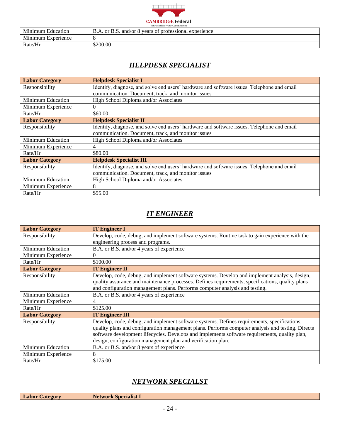

| Minimum<br>Education  | and/or $\delta$<br>s of professional experience<br>years<br>or B.S. |
|-----------------------|---------------------------------------------------------------------|
| Minimum<br>Experience |                                                                     |
| Rate/Hr               | \$200.00                                                            |

#### *HELPDESK SPECIALIST*

<span id="page-23-0"></span>

| <b>Labor Category</b>    | <b>Helpdesk Specialist I</b>                                                               |
|--------------------------|--------------------------------------------------------------------------------------------|
| Responsibility           | Identify, diagnose, and solve end users' hardware and software issues. Telephone and email |
|                          | communication. Document, track, and monitor issues                                         |
| <b>Minimum Education</b> | High School Diploma and/or Associates                                                      |
| Minimum Experience       | $\Omega$                                                                                   |
| Rate/Hr                  | \$60.00                                                                                    |
| <b>Labor Category</b>    | <b>Helpdesk Specialist II</b>                                                              |
| Responsibility           | Identify, diagnose, and solve end users' hardware and software issues. Telephone and email |
|                          | communication. Document, track, and monitor issues                                         |
| Minimum Education        | High School Diploma and/or Associates                                                      |
| Minimum Experience       | 4                                                                                          |
| Rate/Hr                  | \$80.00                                                                                    |
| <b>Labor Category</b>    | <b>Helpdesk Specialist III</b>                                                             |
| Responsibility           | Identify, diagnose, and solve end users' hardware and software issues. Telephone and email |
|                          | communication. Document, track, and monitor issues                                         |
| <b>Minimum Education</b> | High School Diploma and/or Associates                                                      |
| Minimum Experience       | 8                                                                                          |
| Rate/Hr                  | \$95.00                                                                                    |

#### *IT ENGINEER*

<span id="page-23-1"></span>

| <b>Labor Category</b>    | <b>IT Engineer I</b>                                                                              |
|--------------------------|---------------------------------------------------------------------------------------------------|
| Responsibility           | Develop, code, debug, and implement software systems. Routine task to gain experience with the    |
|                          | engineering process and programs.                                                                 |
| <b>Minimum Education</b> | B.A. or B.S. and/or 4 years of experience                                                         |
| Minimum Experience       | $\Omega$                                                                                          |
| Rate/Hr                  | \$100.00                                                                                          |
| <b>Labor Category</b>    | <b>IT Engineer II</b>                                                                             |
| Responsibility           | Develop, code, debug, and implement software systems. Develop and implement analysis, design,     |
|                          | quality assurance and maintenance processes. Defines requirements, specifications, quality plans  |
|                          | and configuration management plans. Performs computer analysis and testing.                       |
| <b>Minimum Education</b> | B.A. or B.S. and/or 4 years of experience                                                         |
| Minimum Experience       | 4                                                                                                 |
| Rate/Hr                  | \$125.00                                                                                          |
| <b>Labor Category</b>    | <b>IT Engineer III</b>                                                                            |
| Responsibility           | Develop, code, debug, and implement software systems. Defines requirements, specifications,       |
|                          | quality plans and configuration management plans. Performs computer analysis and testing. Directs |
|                          | software development lifecycles. Develops and implements software requirements, quality plan,     |
|                          | design, configuration management plan and verification plan.                                      |
| <b>Minimum Education</b> | B.A. or B.S. and/or 8 years of experience                                                         |
| Minimum Experience       | 8                                                                                                 |
| Rate/Hr                  | \$175.00                                                                                          |

#### *NETWORK SPECIALST*

<span id="page-23-2"></span>

| <b>Labor Category</b> | <b>Network Specialist I</b> |
|-----------------------|-----------------------------|
|-----------------------|-----------------------------|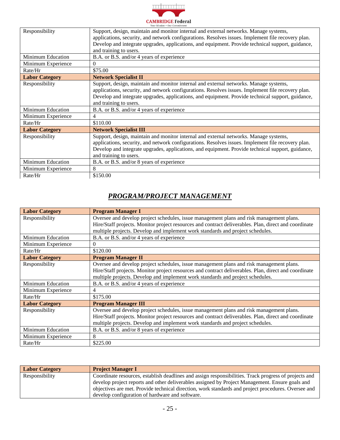

| Responsibility<br><b>Minimum Education</b> | Support, design, maintain and monitor internal and external networks. Manage systems,<br>applications, security, and network configurations. Resolves issues. Implement file recovery plan.<br>Develop and integrate upgrades, applications, and equipment. Provide technical support, guidance,<br>and training to users.<br>B.A. or B.S. and/or 4 years of experience |
|--------------------------------------------|-------------------------------------------------------------------------------------------------------------------------------------------------------------------------------------------------------------------------------------------------------------------------------------------------------------------------------------------------------------------------|
| Minimum Experience                         | $\Omega$                                                                                                                                                                                                                                                                                                                                                                |
| Rate/Hr                                    | \$75.00                                                                                                                                                                                                                                                                                                                                                                 |
| <b>Labor Category</b>                      | <b>Network Specialist II</b>                                                                                                                                                                                                                                                                                                                                            |
| Responsibility                             | Support, design, maintain and monitor internal and external networks. Manage systems,<br>applications, security, and network configurations. Resolves issues. Implement file recovery plan.<br>Develop and integrate upgrades, applications, and equipment. Provide technical support, guidance,<br>and training to users.                                              |
| <b>Minimum Education</b>                   | B.A. or B.S. and/or 4 years of experience                                                                                                                                                                                                                                                                                                                               |
| Minimum Experience                         | 4                                                                                                                                                                                                                                                                                                                                                                       |
| Rate/Hr                                    | \$110.00                                                                                                                                                                                                                                                                                                                                                                |
| <b>Labor Category</b>                      | <b>Network Specialist III</b>                                                                                                                                                                                                                                                                                                                                           |
| Responsibility                             | Support, design, maintain and monitor internal and external networks. Manage systems,<br>applications, security, and network configurations. Resolves issues. Implement file recovery plan.<br>Develop and integrate upgrades, applications, and equipment. Provide technical support, guidance,<br>and training to users.                                              |
| <b>Minimum Education</b>                   | B.A. or B.S. and/or 8 years of experience                                                                                                                                                                                                                                                                                                                               |
| Minimum Experience                         | 8                                                                                                                                                                                                                                                                                                                                                                       |
| Rate/Hr                                    | \$150.00                                                                                                                                                                                                                                                                                                                                                                |

#### *PROGRAM/PROJECT MANAGEMENT*

<span id="page-24-0"></span>

| <b>Labor Category</b>    | <b>Program Manager I</b>                                                                              |
|--------------------------|-------------------------------------------------------------------------------------------------------|
| Responsibility           | Oversee and develop project schedules, issue management plans and risk management plans.              |
|                          | Hire/Staff projects. Monitor project resources and contract deliverables. Plan, direct and coordinate |
|                          | multiple projects. Develop and implement work standards and project schedules.                        |
| Minimum Education        | B.A. or B.S. and/or 4 years of experience                                                             |
| Minimum Experience       | $\Omega$                                                                                              |
| Rate/Hr                  | \$120.00                                                                                              |
| <b>Labor Category</b>    | <b>Program Manager II</b>                                                                             |
| Responsibility           | Oversee and develop project schedules, issue management plans and risk management plans.              |
|                          | Hire/Staff projects. Monitor project resources and contract deliverables. Plan, direct and coordinate |
|                          | multiple projects. Develop and implement work standards and project schedules.                        |
| Minimum Education        | B.A. or B.S. and/or 4 years of experience                                                             |
| Minimum Experience       | 4                                                                                                     |
| Rate/Hr                  | \$175.00                                                                                              |
| <b>Labor Category</b>    | <b>Program Manager III</b>                                                                            |
| Responsibility           | Oversee and develop project schedules, issue management plans and risk management plans.              |
|                          | Hire/Staff projects. Monitor project resources and contract deliverables. Plan, direct and coordinate |
|                          | multiple projects. Develop and implement work standards and project schedules.                        |
| <b>Minimum Education</b> | B.A. or B.S. and/or 8 years of experience                                                             |
| Minimum Experience       |                                                                                                       |
| Rate/Hr                  | \$225.00                                                                                              |

| <b>Labor Category</b> | <b>Project Manager I</b>                                                                              |
|-----------------------|-------------------------------------------------------------------------------------------------------|
| Responsibility        | Coordinate resources, establish deadlines and assign responsibilities. Track progress of projects and |
|                       | develop project reports and other deliverables assigned by Project Management. Ensure goals and       |
|                       | objectives are met. Provide technical direction, work standards and project procedures. Oversee and   |
|                       | develop configuration of hardware and software.                                                       |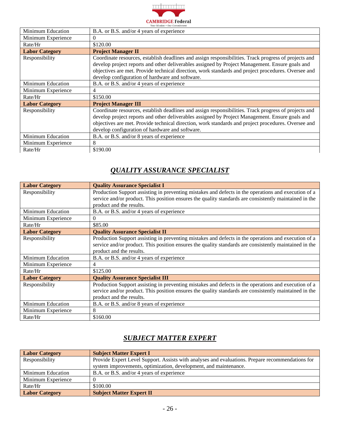

| <b>Minimum Education</b> | B.A. or B.S. and/or 4 years of experience                                                                                                                                                                                                                                                                                                                          |
|--------------------------|--------------------------------------------------------------------------------------------------------------------------------------------------------------------------------------------------------------------------------------------------------------------------------------------------------------------------------------------------------------------|
| Minimum Experience       |                                                                                                                                                                                                                                                                                                                                                                    |
| Rate/Hr                  | \$120.00                                                                                                                                                                                                                                                                                                                                                           |
| <b>Labor Category</b>    | <b>Project Manager II</b>                                                                                                                                                                                                                                                                                                                                          |
| Responsibility           | Coordinate resources, establish deadlines and assign responsibilities. Track progress of projects and<br>develop project reports and other deliverables assigned by Project Management. Ensure goals and<br>objectives are met. Provide technical direction, work standards and project procedures. Oversee and<br>develop configuration of hardware and software. |
| <b>Minimum Education</b> | B.A. or B.S. and/or 4 years of experience                                                                                                                                                                                                                                                                                                                          |
| Minimum Experience       | 4                                                                                                                                                                                                                                                                                                                                                                  |
| Rate/Hr                  | \$150.00                                                                                                                                                                                                                                                                                                                                                           |
| <b>Labor Category</b>    | <b>Project Manager III</b>                                                                                                                                                                                                                                                                                                                                         |
| Responsibility           | Coordinate resources, establish deadlines and assign responsibilities. Track progress of projects and<br>develop project reports and other deliverables assigned by Project Management. Ensure goals and<br>objectives are met. Provide technical direction, work standards and project procedures. Oversee and<br>develop configuration of hardware and software. |
| <b>Minimum Education</b> | B.A. or B.S. and/or 8 years of experience                                                                                                                                                                                                                                                                                                                          |
| Minimum Experience       | 8                                                                                                                                                                                                                                                                                                                                                                  |
| Rate/Hr                  | \$190.00                                                                                                                                                                                                                                                                                                                                                           |

#### *QUALITY ASSURANCE SPECIALIST*

<span id="page-25-0"></span>

| <b>Labor Category</b>    | <b>Quality Assurance Specialist I</b>                                                                  |
|--------------------------|--------------------------------------------------------------------------------------------------------|
| Responsibility           | Production Support assisting in preventing mistakes and defects in the operations and execution of a   |
|                          | service and/or product. This position ensures the quality standards are consistently maintained in the |
|                          | product and the results.                                                                               |
| <b>Minimum Education</b> | B.A. or B.S. and/or 4 years of experience                                                              |
| Minimum Experience       | $\Omega$                                                                                               |
| Rate/Hr                  | \$85.00                                                                                                |
| <b>Labor Category</b>    | <b>Quality Assurance Specialist II</b>                                                                 |
| Responsibility           | Production Support assisting in preventing mistakes and defects in the operations and execution of a   |
|                          | service and/or product. This position ensures the quality standards are consistently maintained in the |
|                          | product and the results.                                                                               |
| Minimum Education        | B.A. or B.S. and/or 4 years of experience                                                              |
| Minimum Experience       | 4                                                                                                      |
| Rate/Hr                  | \$125.00                                                                                               |
| <b>Labor Category</b>    | <b>Quality Assurance Specialist III</b>                                                                |
| Responsibility           | Production Support assisting in preventing mistakes and defects in the operations and execution of a   |
|                          | service and/or product. This position ensures the quality standards are consistently maintained in the |
|                          | product and the results.                                                                               |
| Minimum Education        | B.A. or B.S. and/or 8 years of experience                                                              |
| Minimum Experience       | 8                                                                                                      |
| Rate/Hr                  | \$160.00                                                                                               |

#### *SUBJECT MATTER EXPERT*

<span id="page-25-1"></span>

| <b>Labor Category</b> | <b>Subject Matter Expert I</b>                                                                   |
|-----------------------|--------------------------------------------------------------------------------------------------|
| Responsibility        | Provide Expert Level Support. Assists with analyses and evaluations. Prepare recommendations for |
|                       | system improvements, optimization, development, and maintenance.                                 |
| Minimum Education     | B.A. or B.S. and/or 4 years of experience                                                        |
| Minimum Experience    |                                                                                                  |
| Rate/Hr               | \$100.00                                                                                         |
| <b>Labor Category</b> | <b>Subject Matter Expert II</b>                                                                  |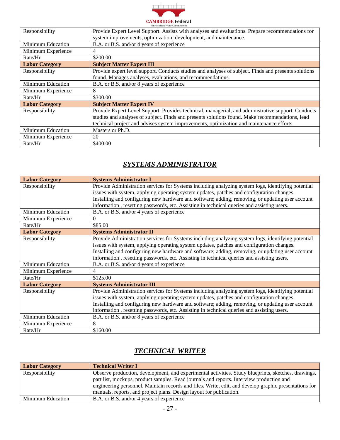

| Responsibility        | Provide Expert Level Support. Assists with analyses and evaluations. Prepare recommendations for     |
|-----------------------|------------------------------------------------------------------------------------------------------|
|                       | system improvements, optimization, development, and maintenance.                                     |
| Minimum Education     | B.A. or B.S. and/or 4 years of experience                                                            |
| Minimum Experience    | 4                                                                                                    |
| Rate/Hr               | \$200.00                                                                                             |
| <b>Labor Category</b> | <b>Subject Matter Expert III</b>                                                                     |
| Responsibility        | Provide expert level support. Conducts studies and analyses of subject. Finds and presents solutions |
|                       | found. Manages analyses, evaluations, and recommendations.                                           |
| Minimum Education     | B.A. or B.S. and/or 8 years of experience                                                            |
| Minimum Experience    | 8                                                                                                    |
| Rate/Hr               | \$300.00                                                                                             |
| <b>Labor Category</b> | <b>Subject Matter Expert IV</b>                                                                      |
| Responsibility        | Provide Expert Level Support. Provides technical, managerial, and administrative support. Conducts   |
|                       | studies and analyses of subject. Finds and presents solutions found. Make recommendations, lead      |
|                       | technical project and advises system improvements, optimization and maintenance efforts.             |
| Minimum Education     | Masters or Ph.D.                                                                                     |
| Minimum Experience    | 20                                                                                                   |
| Rate/Hr               | \$400.00                                                                                             |

#### *SYSTEMS ADMINISTRATOR*

<span id="page-26-0"></span>

| <b>Labor Category</b>    | <b>Systems Administrator I</b>                                                                     |
|--------------------------|----------------------------------------------------------------------------------------------------|
| Responsibility           | Provide Administration services for Systems including analyzing system logs, identifying potential |
|                          | issues with system, applying operating system updates, patches and configuration changes.          |
|                          | Installing and configuring new hardware and software; adding, removing, or updating user account   |
|                          | information, resetting passwords, etc. Assisting in technical queries and assisting users.         |
| Minimum Education        | B.A. or B.S. and/or 4 years of experience                                                          |
| Minimum Experience       | $\Omega$                                                                                           |
| Rate/Hr                  | \$85.00                                                                                            |
| <b>Labor Category</b>    | <b>Systems Administrator II</b>                                                                    |
| Responsibility           | Provide Administration services for Systems including analyzing system logs, identifying potential |
|                          | issues with system, applying operating system updates, patches and configuration changes.          |
|                          | Installing and configuring new hardware and software; adding, removing, or updating user account   |
|                          | information, resetting passwords, etc. Assisting in technical queries and assisting users.         |
| Minimum Education        | B.A. or B.S. and/or 4 years of experience                                                          |
| Minimum Experience       | $\overline{\mathcal{A}}$                                                                           |
| Rate/Hr                  | \$125.00                                                                                           |
| <b>Labor Category</b>    | <b>Systems Administrator III</b>                                                                   |
| Responsibility           | Provide Administration services for Systems including analyzing system logs, identifying potential |
|                          | issues with system, applying operating system updates, patches and configuration changes.          |
|                          | Installing and configuring new hardware and software; adding, removing, or updating user account   |
|                          | information, resetting passwords, etc. Assisting in technical queries and assisting users.         |
| <b>Minimum Education</b> | B.A. or B.S. and/or 8 years of experience                                                          |
| Minimum Experience       | 8                                                                                                  |
| Rate/Hr                  | \$160.00                                                                                           |

### *TECHNICAL WRITER*

<span id="page-26-1"></span>

| <b>Labor Category</b> | <b>Technical Writer I</b>                                                                             |
|-----------------------|-------------------------------------------------------------------------------------------------------|
| Responsibility        | Observe production, development, and experimental activities. Study blueprints, sketches, drawings,   |
|                       | part list, mockups, product samples. Read journals and reports. Interview production and              |
|                       | engineering personnel. Maintain records and files. Write, edit, and develop graphic presentations for |
|                       | manuals, reports, and project plans. Design layout for publication.                                   |
| Minimum Education     | B.A. or B.S. and/or 4 years of experience                                                             |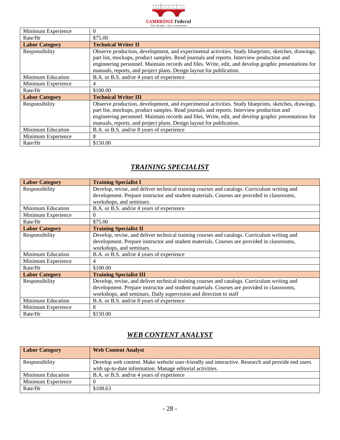

┑

| Minimum Experience       | 0                                                                                                                                                                                                                                                                                                                                                                               |
|--------------------------|---------------------------------------------------------------------------------------------------------------------------------------------------------------------------------------------------------------------------------------------------------------------------------------------------------------------------------------------------------------------------------|
| Rate/Hr                  | \$75.00                                                                                                                                                                                                                                                                                                                                                                         |
| <b>Labor Category</b>    | <b>Technical Writer II</b>                                                                                                                                                                                                                                                                                                                                                      |
| Responsibility           | Observe production, development, and experimental activities. Study blueprints, sketches, drawings,<br>part list, mockups, product samples. Read journals and reports. Interview production and<br>engineering personnel. Maintain records and files. Write, edit, and develop graphic presentations for<br>manuals, reports, and project plans. Design layout for publication. |
| <b>Minimum Education</b> | B.A. or B.S. and/or 4 years of experience                                                                                                                                                                                                                                                                                                                                       |
| Minimum Experience       | 4                                                                                                                                                                                                                                                                                                                                                                               |
| Rate/Hr                  | \$100.00                                                                                                                                                                                                                                                                                                                                                                        |
| <b>Labor Category</b>    | <b>Technical Writer III</b>                                                                                                                                                                                                                                                                                                                                                     |
| Responsibility           | Observe production, development, and experimental activities. Study blueprints, sketches, drawings,<br>part list, mockups, product samples. Read journals and reports. Interview production and<br>engineering personnel. Maintain records and files. Write, edit, and develop graphic presentations for<br>manuals, reports, and project plans. Design layout for publication. |
| Minimum Education        | B.A. or B.S. and/or 8 years of experience                                                                                                                                                                                                                                                                                                                                       |
| Minimum Experience       | 8                                                                                                                                                                                                                                                                                                                                                                               |
| Rate/Hr                  | \$150.00                                                                                                                                                                                                                                                                                                                                                                        |

#### *TRAINING SPECIALIST*

<span id="page-27-0"></span>

| <b>Labor Category</b> | <b>Training Specialist I</b>                                                                 |
|-----------------------|----------------------------------------------------------------------------------------------|
| Responsibility        | Develop, revise, and deliver technical training courses and catalogs. Curriculum writing and |
|                       | development. Prepare instructor and student materials. Courses are provided in classrooms,   |
|                       | workshops, and seminars.                                                                     |
| Minimum Education     | B.A. or B.S. and/or 4 years of experience                                                    |
| Minimum Experience    | $\Omega$                                                                                     |
| Rate/Hr               | \$75.00                                                                                      |
| <b>Labor Category</b> | <b>Training Specialist II</b>                                                                |
| Responsibility        | Develop, revise, and deliver technical training courses and catalogs. Curriculum writing and |
|                       | development. Prepare instructor and student materials. Courses are provided in classrooms,   |
|                       | workshops, and seminars.                                                                     |
| Minimum Education     | B.A. or B.S. and/or 4 years of experience                                                    |
| Minimum Experience    | 4                                                                                            |
| Rate/Hr               | \$100.00                                                                                     |
| <b>Labor Category</b> | <b>Training Specialist III</b>                                                               |
| Responsibility        | Develop, revise, and deliver technical training courses and catalogs. Curriculum writing and |
|                       | development. Prepare instructor and student materials. Courses are provided in classrooms,   |
|                       | workshops, and seminars. Daily supervision and direction to staff                            |
| Minimum Education     | B.A. or B.S. and/or 8 years of experience                                                    |
| Minimum Experience    | 8                                                                                            |
| Rate/Hr               | \$150.00                                                                                     |

### *WEB CONTENT ANALYST*

<span id="page-27-1"></span>

| <b>Labor Category</b> | <b>Web Content Analyst</b>                                                                      |
|-----------------------|-------------------------------------------------------------------------------------------------|
| Responsibility        | Develop web content. Make website user-friendly and interactive. Research and provide end users |
|                       | with up-to-date information. Manage editorial activities.                                       |
| Minimum Education     | B.A. or B.S. and/or 4 years of experience                                                       |
| Minimum Experience    |                                                                                                 |
| Rate/Hr               | \$108.63                                                                                        |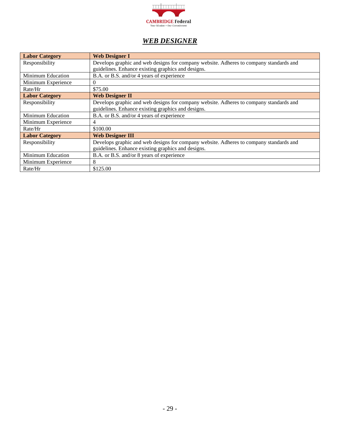

#### *WEB DESIGNER*

<span id="page-28-0"></span>

| <b>Labor Category</b>    | <b>Web Designer I</b>                                                                  |
|--------------------------|----------------------------------------------------------------------------------------|
| Responsibility           | Develops graphic and web designs for company website. Adheres to company standards and |
|                          | guidelines. Enhance existing graphics and designs.                                     |
| <b>Minimum Education</b> | B.A. or B.S. and/or 4 years of experience                                              |
| Minimum Experience       | $\Omega$                                                                               |
| Rate/Hr                  | \$75.00                                                                                |
| <b>Labor Category</b>    | <b>Web Designer II</b>                                                                 |
| Responsibility           | Develops graphic and web designs for company website. Adheres to company standards and |
|                          | guidelines. Enhance existing graphics and designs.                                     |
| <b>Minimum Education</b> | B.A. or B.S. and/or 4 years of experience                                              |
| Minimum Experience       | 4                                                                                      |
| Rate/Hr                  | \$100.00                                                                               |
| <b>Labor Category</b>    | <b>Web Designer III</b>                                                                |
| Responsibility           | Develops graphic and web designs for company website. Adheres to company standards and |
|                          | guidelines. Enhance existing graphics and designs.                                     |
| <b>Minimum Education</b> | B.A. or B.S. and/or 8 years of experience                                              |
| Minimum Experience       | 8                                                                                      |
| Rate/Hr                  | \$125.00                                                                               |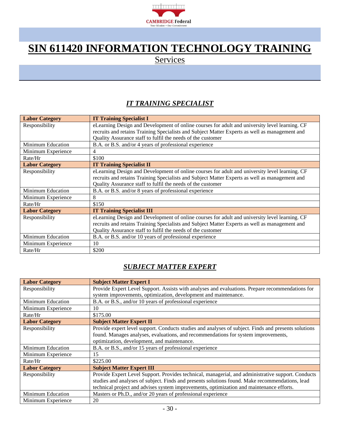

### <span id="page-29-0"></span>**SIN 611420 INFORMATION TECHNOLOGY TRAINING**

**Services** 

#### *IT TRAINING SPECIALIST*

<span id="page-29-1"></span>

| <b>Labor Category</b>    | <b>IT Training Specialist I</b>                                                                |
|--------------------------|------------------------------------------------------------------------------------------------|
| Responsibility           | eLearning Design and Development of online courses for adult and university level learning. CF |
|                          | recruits and retains Training Specialists and Subject Matter Experts as well as management and |
|                          | Quality Assurance staff to fulfil the needs of the customer                                    |
| <b>Minimum Education</b> | B.A. or B.S. and/or 4 years of professional experience                                         |
| Minimum Experience       | 4                                                                                              |
| Rate/Hr                  | \$100                                                                                          |
| <b>Labor Category</b>    | <b>IT Training Specialist II</b>                                                               |
| Responsibility           | eLearning Design and Development of online courses for adult and university level learning. CF |
|                          | recruits and retains Training Specialists and Subject Matter Experts as well as management and |
|                          | Quality Assurance staff to fulfil the needs of the customer                                    |
| <b>Minimum Education</b> | B.A. or B.S. and/or 8 years of professional experience                                         |
| Minimum Experience       | 8                                                                                              |
| Rate/Hr                  | \$150                                                                                          |
| <b>Labor Category</b>    | <b>IT Training Specialist III</b>                                                              |
| Responsibility           | eLearning Design and Development of online courses for adult and university level learning. CF |
|                          | recruits and retains Training Specialists and Subject Matter Experts as well as management and |
|                          | Quality Assurance staff to fulfil the needs of the customer                                    |
| Minimum Education        | B.A. or B.S. and/or 10 years of professional experience                                        |
| Minimum Experience       | 10                                                                                             |
| Rate/Hr                  | \$200                                                                                          |

#### *SUBJECT MATTER EXPERT*

<span id="page-29-2"></span>

| <b>Labor Category</b>    | <b>Subject Matter Expert I</b>                                                                       |
|--------------------------|------------------------------------------------------------------------------------------------------|
| Responsibility           | Provide Expert Level Support. Assists with analyses and evaluations. Prepare recommendations for     |
|                          | system improvements, optimization, development and maintenance.                                      |
| Minimum Education        | B.A. or B.S., and/or 10 years of professional experience                                             |
| Minimum Experience       | 10                                                                                                   |
| Rate/Hr                  | \$175.00                                                                                             |
| <b>Labor Category</b>    | <b>Subject Matter Expert II</b>                                                                      |
| Responsibility           | Provide expert level support. Conducts studies and analyses of subject. Finds and presents solutions |
|                          | found. Manages analyses, evaluations, and recommendations for system improvements,                   |
|                          | optimization, development, and maintenance.                                                          |
| Minimum Education        | B.A. or B.S., and/or 15 years of professional experience                                             |
| Minimum Experience       | 15                                                                                                   |
| Rate/Hr                  | \$225.00                                                                                             |
| <b>Labor Category</b>    | <b>Subject Matter Expert III</b>                                                                     |
| Responsibility           | Provide Expert Level Support. Provides technical, managerial, and administrative support. Conducts   |
|                          | studies and analyses of subject. Finds and presents solutions found. Make recommendations, lead      |
|                          | technical project and advises system improvements, optimization and maintenance efforts.             |
| <b>Minimum Education</b> | Masters or Ph.D., and/or 20 years of professional experience                                         |
| Minimum Experience       | 20                                                                                                   |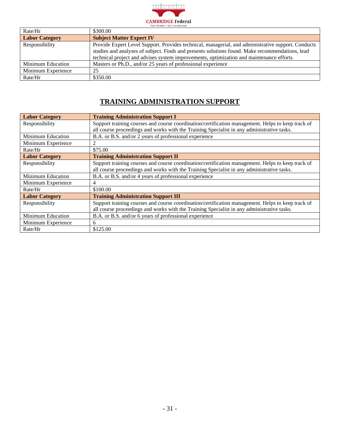

| Rate/Hr               | \$300.00                                                                                           |
|-----------------------|----------------------------------------------------------------------------------------------------|
| <b>Labor Category</b> | <b>Subject Matter Expert IV</b>                                                                    |
| Responsibility        | Provide Expert Level Support. Provides technical, managerial, and administrative support. Conducts |
|                       | studies and analyses of subject. Finds and presents solutions found. Make recommendations, lead    |
|                       | technical project and advises system improvements, optimization and maintenance efforts.           |
| Minimum Education     | Masters or Ph.D., and/or 25 years of professional experience                                       |
| Minimum Experience    | 25                                                                                                 |
| Rate/Hr               | \$350.00                                                                                           |

#### **TRAINING ADMINISTRATION SUPPORT**

<span id="page-30-0"></span>

| <b>Labor Category</b>    | <b>Training Administration Support I</b>                                                          |
|--------------------------|---------------------------------------------------------------------------------------------------|
| Responsibility           | Support training courses and course coordination/certification management. Helps to keep track of |
|                          | all course proceedings and works with the Training Specialist in any administrative tasks.        |
| <b>Minimum Education</b> | B.A. or B.S. and/or 2 years of professional experience                                            |
| Minimum Experience       | 2                                                                                                 |
| Rate/Hr                  | \$75.00                                                                                           |
| <b>Labor Category</b>    | <b>Training Administration Support II</b>                                                         |
| Responsibility           | Support training courses and course coordination/certification management. Helps to keep track of |
|                          | all course proceedings and works with the Training Specialist in any administrative tasks.        |
| <b>Minimum Education</b> | B.A. or B.S. and/or 4 years of professional experience                                            |
| Minimum Experience       | 4                                                                                                 |
| Rate/Hr                  | \$100.00                                                                                          |
| <b>Labor Category</b>    | <b>Training Administration Support III</b>                                                        |
| Responsibility           | Support training courses and course coordination/certification management. Helps to keep track of |
|                          | all course proceedings and works with the Training Specialist in any administrative tasks.        |
| <b>Minimum Education</b> | B.A. or B.S. and/or 6 years of professional experience                                            |
| Minimum Experience       | 6                                                                                                 |
| Rate/Hr                  | \$125.00                                                                                          |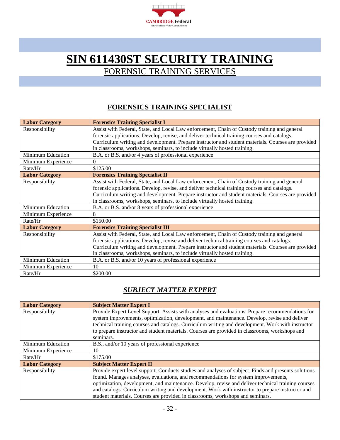

### <span id="page-31-0"></span>**SIN 611430ST SECURITY TRAINING** FORENSIC TRAINING SERVICES

#### **FORENSICS TRAINING SPECIALIST**

<span id="page-31-1"></span>

| <b>Labor Category</b>    | <b>Forensics Training Specialist I</b>                                                             |  |  |  |  |
|--------------------------|----------------------------------------------------------------------------------------------------|--|--|--|--|
| Responsibility           | Assist with Federal, State, and Local Law enforcement, Chain of Custody training and general       |  |  |  |  |
|                          | forensic applications. Develop, revise, and deliver technical training courses and catalogs.       |  |  |  |  |
|                          | Curriculum writing and development. Prepare instructor and student materials. Courses are provided |  |  |  |  |
|                          | in classrooms, workshops, seminars, to include virtually hosted training.                          |  |  |  |  |
| <b>Minimum Education</b> | B.A. or B.S. and/or 4 years of professional experience                                             |  |  |  |  |
| Minimum Experience       | $\Omega$                                                                                           |  |  |  |  |
| Rate/Hr                  | \$125.00                                                                                           |  |  |  |  |
| <b>Labor Category</b>    | <b>Forensics Training Specialist II</b>                                                            |  |  |  |  |
| Responsibility           | Assist with Federal, State, and Local Law enforcement, Chain of Custody training and general       |  |  |  |  |
|                          | forensic applications. Develop, revise, and deliver technical training courses and catalogs.       |  |  |  |  |
|                          | Curriculum writing and development. Prepare instructor and student materials. Courses are provided |  |  |  |  |
|                          | in classrooms, workshops, seminars, to include virtually hosted training.                          |  |  |  |  |
| <b>Minimum Education</b> | B.A. or B.S. and/or 8 years of professional experience                                             |  |  |  |  |
| Minimum Experience       | 8                                                                                                  |  |  |  |  |
| Rate/Hr                  | \$150.00                                                                                           |  |  |  |  |
| <b>Labor Category</b>    | <b>Forensics Training Specialist III</b>                                                           |  |  |  |  |
| Responsibility           | Assist with Federal, State, and Local Law enforcement, Chain of Custody training and general       |  |  |  |  |
|                          | forensic applications. Develop, revise and deliver technical training courses and catalogs.        |  |  |  |  |
|                          | Curriculum writing and development. Prepare instructor and student materials. Courses are provided |  |  |  |  |
|                          | in classrooms, workshops, seminars, to include virtually hosted training.                          |  |  |  |  |
| <b>Minimum Education</b> | B.A. or B.S. and/or 10 years of professional experience                                            |  |  |  |  |
| Minimum Experience       | 10                                                                                                 |  |  |  |  |
| Rate/Hr                  | \$200.00                                                                                           |  |  |  |  |

#### *SUBJECT MATTER EXPERT*

<span id="page-31-2"></span>

| <b>Labor Category</b>    | <b>Subject Matter Expert I</b>                                                                                                                                                                   |  |  |  |  |  |
|--------------------------|--------------------------------------------------------------------------------------------------------------------------------------------------------------------------------------------------|--|--|--|--|--|
| Responsibility           | Provide Expert Level Support. Assists with analyses and evaluations. Prepare recommendations for<br>system improvements, optimization, development, and maintenance. Develop, revise and deliver |  |  |  |  |  |
|                          | technical training courses and catalogs. Curriculum writing and development. Work with instructor                                                                                                |  |  |  |  |  |
|                          | to prepare instructor and student materials. Courses are provided in classrooms, workshops and                                                                                                   |  |  |  |  |  |
|                          | seminars.                                                                                                                                                                                        |  |  |  |  |  |
| <b>Minimum Education</b> | B.S., and/or 10 years of professional experience                                                                                                                                                 |  |  |  |  |  |
| Minimum Experience       | 10                                                                                                                                                                                               |  |  |  |  |  |
| Rate/Hr                  | \$175.00                                                                                                                                                                                         |  |  |  |  |  |
| <b>Labor Category</b>    | <b>Subject Matter Expert II</b>                                                                                                                                                                  |  |  |  |  |  |
| Responsibility           | Provide expert level support. Conducts studies and analyses of subject. Finds and presents solutions                                                                                             |  |  |  |  |  |
|                          | found. Manages analyses, evaluations, and recommendations for system improvements,                                                                                                               |  |  |  |  |  |
|                          | optimization, development, and maintenance. Develop, revise and deliver technical training courses                                                                                               |  |  |  |  |  |
|                          | and catalogs. Curriculum writing and development. Work with instructor to prepare instructor and                                                                                                 |  |  |  |  |  |
|                          | student materials. Courses are provided in classrooms, workshops and seminars.                                                                                                                   |  |  |  |  |  |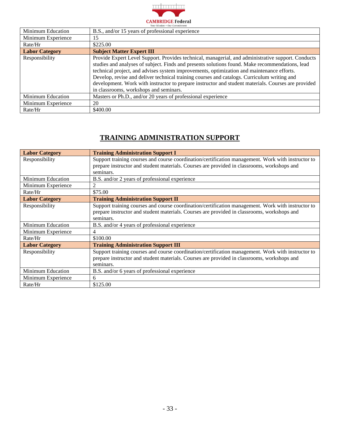

| <b>Minimum Education</b> | B.S., and/or 15 years of professional experience                                                                                                                                                                                                                                                                                                                                                                                                                                                                                                   |  |  |
|--------------------------|----------------------------------------------------------------------------------------------------------------------------------------------------------------------------------------------------------------------------------------------------------------------------------------------------------------------------------------------------------------------------------------------------------------------------------------------------------------------------------------------------------------------------------------------------|--|--|
| Minimum Experience       | 5                                                                                                                                                                                                                                                                                                                                                                                                                                                                                                                                                  |  |  |
| Rate/Hr                  | \$225.00                                                                                                                                                                                                                                                                                                                                                                                                                                                                                                                                           |  |  |
| <b>Labor Category</b>    | <b>Subject Matter Expert III</b>                                                                                                                                                                                                                                                                                                                                                                                                                                                                                                                   |  |  |
| Responsibility           | Provide Expert Level Support. Provides technical, managerial, and administrative support. Conducts<br>studies and analyses of subject. Finds and presents solutions found. Make recommendations, lead<br>technical project, and advises system improvements, optimization and maintenance efforts.<br>Develop, revise and deliver technical training courses and catalogs. Curriculum writing and<br>development. Work with instructor to prepare instructor and student materials. Courses are provided<br>in classrooms, workshops and seminars. |  |  |
| Minimum Education        | Masters or Ph.D., and/or 20 years of professional experience                                                                                                                                                                                                                                                                                                                                                                                                                                                                                       |  |  |
| Minimum Experience       | 20                                                                                                                                                                                                                                                                                                                                                                                                                                                                                                                                                 |  |  |
| Rate/Hr                  | \$400.00                                                                                                                                                                                                                                                                                                                                                                                                                                                                                                                                           |  |  |

#### **TRAINING ADMINISTRATION SUPPORT**

<span id="page-32-0"></span>

| <b>Labor Category</b>    | <b>Training Administration Support I</b>                                                           |  |  |  |  |  |
|--------------------------|----------------------------------------------------------------------------------------------------|--|--|--|--|--|
| Responsibility           | Support training courses and course coordination/certification management. Work with instructor to |  |  |  |  |  |
|                          | prepare instructor and student materials. Courses are provided in classrooms, workshops and        |  |  |  |  |  |
|                          | seminars.                                                                                          |  |  |  |  |  |
| <b>Minimum Education</b> | B.S. and/or 2 years of professional experience                                                     |  |  |  |  |  |
| Minimum Experience       | $\overline{2}$                                                                                     |  |  |  |  |  |
| Rate/Hr                  | \$75.00                                                                                            |  |  |  |  |  |
| <b>Labor Category</b>    | <b>Training Administration Support II</b>                                                          |  |  |  |  |  |
| Responsibility           | Support training courses and course coordination/certification management. Work with instructor to |  |  |  |  |  |
|                          | prepare instructor and student materials. Courses are provided in classrooms, workshops and        |  |  |  |  |  |
|                          | seminars.                                                                                          |  |  |  |  |  |
| Minimum Education        | B.S. and/or 4 years of professional experience                                                     |  |  |  |  |  |
| Minimum Experience       | 4                                                                                                  |  |  |  |  |  |
| Rate/Hr                  | \$100.00                                                                                           |  |  |  |  |  |
| <b>Labor Category</b>    | <b>Training Administration Support III</b>                                                         |  |  |  |  |  |
| Responsibility           | Support training courses and course coordination/certification management. Work with instructor to |  |  |  |  |  |
|                          | prepare instructor and student materials. Courses are provided in classrooms, workshops and        |  |  |  |  |  |
|                          | seminars.                                                                                          |  |  |  |  |  |
| <b>Minimum Education</b> | B.S. and/or 6 years of professional experience                                                     |  |  |  |  |  |
| Minimum Experience       | 6                                                                                                  |  |  |  |  |  |
| Rate/Hr                  | \$125.00                                                                                           |  |  |  |  |  |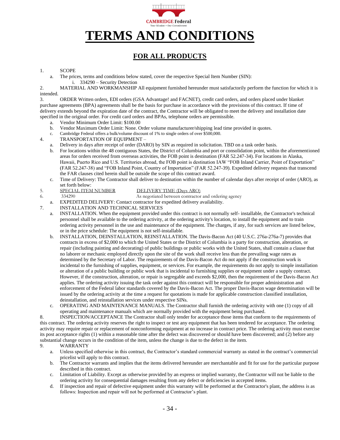

#### **FOR ALL PRODUCTS**

#### <span id="page-33-1"></span><span id="page-33-0"></span>1. SCOPE

a. The prices, terms and conditions below stated, cover the respective Special Item Number (SIN): i. 334290 – Security Detection

2. MATERIAL AND WORKMANSHIP All equipment furnished hereunder must satisfactorily perform the function for which it is intended.

3. ORDER Written orders, EDI orders (GSA Advantage! and FACNET), credit card orders, and orders placed under blanket purchase agreements (BPA) agreements shall be the basis for purchase in accordance with the provisions of this contract. If time of delivery extends beyond the expiration date of the contract, the Contractor will be obligated to meet the delivery and installation date specified in the original order. For credit card orders and BPAs, telephone orders are permissible.

- a. Vendor Minimum Order Limit: \$100.00
- b. Vendor Maximum Order Limit: None. Order volume manufacturer/shipping lead time provided in quotes.
- c. Cambridge Federal offers a bulk/volume discount of 1% to single orders of over \$500,000.
- 4. TRANSPORTATION OF EQUIPMENT
	- a. Delivery in days after receipt of order (DARO) by SIN as required in solicitation. TBD on a task order basis.
	- b. For locations within the 48 contiguous States, the District of Columbia and port or consolidation point, within the aforementioned areas for orders received from overseas activities, the FOB point is destination (FAR 52.247-34). For locations in Alaska, Hawaii, Puerto Rico and U.S. Territories abroad, the FOB point is destination IAW "FOB Inland Carrier, Point of Exportation" (FAR 52.247-38) and "FOB Inland Point, Country of Importation" (FAR 52.247-39). Expedited delivery requests that transcend the FAR clauses cited herein shall be outside the scope of this contract award.
	- c. Time of Delivery: The Contractor shall deliver to destination within the number of calendar days after receipt of order (ARO), as set forth below:
		-
- 5. SPECIAL ITEM NUMBER DELIVERY TIME (Days ARO)
- 
- 6. 334290 As negotiated between contractor and ordering agency

a. EXPEDITED DELIVERY: Contact contractor for expedited delivery availability.

- 7. INSTALLATION AND TECHNICAL SERVICES
	- a. INSTALLATION. When the equipment provided under this contract is not normally self- installable, the Contractor's technical personnel shall be available to the ordering activity, at the ordering activity's location, to install the equipment and to train ordering activity personnel in the use and maintenance of the equipment. The charges, if any, for such services are listed below, or in the price schedule: The equipment is not self-installable.
	- b. INSTALLATION, DEINSTALLATION, REINSTALLATION. The Davis-Bacon Act (40 U.S.C. 276a-276a-7) provides that contracts in excess of \$2,000 to which the United States or the District of Columbia is a party for construction, alteration, or repair (including painting and decorating) of public buildings or public works with the United States, shall contain a clause that no laborer or mechanic employed directly upon the site of the work shall receive less than the prevailing wage rates as determined by the Secretary of Labor. The requirements of the Davis-Bacon Act do not apply if the construction work is incidental to the furnishing of supplies, equipment, or services. For example, the requirements do not apply to simple installation or alteration of a public building or public work that is incidental to furnishing supplies or equipment under a supply contract. However, if the construction, alteration, or repair is segregable and exceeds \$2,000, then the requirement of the Davis-Bacon Act applies. The ordering activity issuing the task order against this contract will be responsible for proper administration and enforcement of the Federal labor standards covered by the Davis-Bacon Act. The proper Davis-Bacon wage determination will be issued by the ordering activity at the time a request for quotations is made for applicable construction classified installation, deinstallation, and reinstallation services under respective SINs.
	- c. OPERATING AND MAINTENANCE MANUALS. The Contractor shall furnish the ordering activity with one (1) copy of all operating and maintenance manuals which are normally provided with the equipment being purchased.

8. INSPECTION/ACCEPTANCE The Contractor shall only tender for acceptance those items that conform to the requirements of this contract. The ordering activity reserves the right to inspect or test any equipment that has been tendered for acceptance. The ordering activity may require repair or replacement of nonconforming equipment at no increase in contract price. The ordering activity must exercise its post acceptance rights (1) within a reasonable time after the defect was discovered or should have been discovered; and (2) before any substantial change occurs in the condition of the item, unless the change is due to the defect in the item.

- 9. WARRANTY
	- a. Unless specified otherwise in this contract, the Contractor's standard commercial warranty as stated in the contract's commercial pricelist will apply to this contract.
	- b. The Contractor warrants and implies that the items delivered hereunder are merchantable and fit for use for the particular purpose described in this contract.
	- c. Limitation of Liability. Except as otherwise provided by an express or implied warranty, the Contractor will not be liable to the ordering activity for consequential damages resulting from any defect or deficiencies in accepted items.
	- d. If inspection and repair of defective equipment under this warranty will be performed at the Contractor's plant, the address is as follows: Inspection and repair will not be performed at Contractor's plant.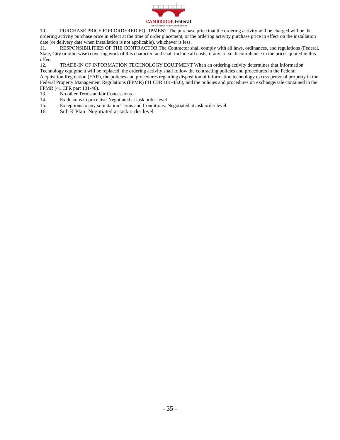

10. PURCHASE PRICE FOR ORDERED EQUIPMENT The purchase price that the ordering activity will be charged will be the ordering activity purchase price in effect at the time of order placement, or the ordering activity purchase price in effect on the installation date (or delivery date when installation is not applicable), whichever is less.

11. RESPONSIBILITIES OF THE CONTRACTOR The Contractor shall comply with all laws, ordinances, and regulations (Federal, State, City or otherwise) covering work of this character, and shall include all costs, if any, of such compliance in the prices quoted in this offer.

12. TRADE-IN OF INFORMATION TECHNOLOGY EQUIPMENT When an ordering activity determines that Information Technology equipment will be replaced, the ordering activity shall follow the contracting policies and procedures in the Federal Acquisition Regulation (FAR), the policies and procedures regarding disposition of information technology excess personal property in the Federal Property Management Regulations (FPMR) (41 CFR 101-43.6), and the policies and procedures on exchange/sale contained in the FPMR (41 CFR part 101-46).

- 13. No other Terms and/or Concessions.
- 14. Exclusions to price list: Negotiated at task order level
- 15. Exceptions to any solicitation Terms and Conditions: Negotiated at task order level
- 16. Sub K Plan: Negotiated at task order level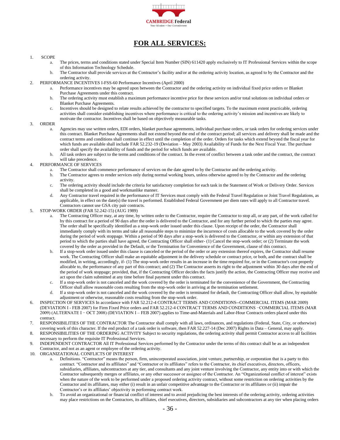

#### **FOR ALL SERVICES:**

#### <span id="page-35-0"></span>1. SCOPE

- a. The prices, terms and conditions stated under Special Item Number (SIN) 611420 apply exclusively to IT Professional Services within the scope of this Information Technology Schedule.
- b. The Contractor shall provide services at the Contractor's facility and/or at the ordering activity location, as agreed to by the Contractor and the ordering activity.
- 2. PERFORMANCE INCENTIVES I-FSS-60 Performance Incentives (April 2000)
	- a. Performance incentives may be agreed upon between the Contractor and the ordering activity on individual fixed price orders or Blanket Purchase Agreements under this contract.
	- b. The ordering activity must establish a maximum performance incentive price for these services and/or total solutions on individual orders or Blanket Purchase Agreements.
	- c. Incentives should be designed to relate results achieved by the contractor to specified targets. To the maximum extent practicable, ordering activities shall consider establishing incentives where performance is critical to the ordering activity's mission and incentives are likely to motivate the contractor. Incentives shall be based on objectively measurable tasks.

#### 3. ORDER

- a. Agencies may use written orders, EDI orders, blanket purchase agreements, individual purchase orders, or task orders for ordering services under this contract. Blanket Purchase Agreements shall not extend beyond the end of the contract period; all services and delivery shall be made and the contract terms and conditions shall continue in effect until the completion of the order. Orders for tasks which extend beyond the fiscal year for which funds are available shall include FAR 52.232-19 (Deviation – May 2003) Availability of Funds for the Next Fiscal Year. The purchase order shall specify the availability of funds and the period for which funds are available.
- b. All task orders are subject to the terms and conditions of the contract. In the event of conflict between a task order and the contract, the contract will take precedence.
- 4. PERFORMANCE OF SERVICES
	- The Contractor shall commence performance of services on the date agreed to by the Contractor and the ordering activity.
	- b. The Contractor agrees to render services only during normal working hours, unless otherwise agreed to by the Contractor and the ordering activity.
	- c. The ordering activity should include the criteria for satisfactory completion for each task in the Statement of Work or Delivery Order. Services shall be completed in a good and workmanlike manner.
	- d. Any Contractor travel required in the performance of IT Services must comply with the Federal Travel Regulation or Joint Travel Regulations, as applicable, in effect on the date(s) the travel is performed. Established Federal Government per diem rates will apply to all Contractor travel. Contractors cannot use GSA city pair contracts.
- 5. STOP-WORK ORDER (FAR 52.242-15) (AUG 1989)
	- The Contracting Officer may, at any time, by written order to the Contractor, require the Contractor to stop all, or any part, of the work called for by this contract for a period of 90 days after the order is delivered to the Contractor, and for any further period to which the parties may agree. The order shall be specifically identified as a stop-work order issued under this clause. Upon receipt of the order, the Contractor shall immediately comply with its terms and take all reasonable steps to minimize the incurrence of costs allocable to the work covered by the order during the period of work stoppage. Within a period of 90 days after a stop-work is delivered to the Contractor, or within any extension of that period to which the parties shall have agreed, the Contracting Officer shall either- (1) Cancel the stop-work order; or (2) Terminate the work covered by the order as provided in the Default, or the Termination for Convenience of the Government, clause of this contract.
	- b. If a stop-work order issued under this clause is canceled or the period of the order or any extension thereof expires, the Contractor shall resume work. The Contracting Officer shall make an equitable adjustment in the delivery schedule or contract price, or both, and the contract shall be modified, in writing, accordingly, if- (1) The stop-work order results in an increase in the time required for, or in the Contractor's cost properly allocable to, the performance of any part of this contract; and (2) The Contractor asserts its right to the adjustment within 30 days after the end of the period of work stoppage; provided, that, if the Contracting Officer decides the facts justify the action, the Contracting Officer may receive and act upon the claim submitted at any time before final payment under this contract.
	- c. If a stop-work order is not canceled and the work covered by the order is terminated for the convenience of the Government, the Contracting Officer shall allow reasonable costs resulting from the stop-work order in arriving at the termination settlement.
	- d. If a stop-work order is not canceled and the work covered by the order is terminated for default, the Contracting Officer shall allow, by equitable adjustment or otherwise, reasonable costs resulting from the stop-work order.
- 6. INSPECTION OF SERVICES In accordance with FAR 52.212-4 CONTRACT TERMS AND CONDITIONS--COMMERCIAL ITEMS (MAR 2009) (DEVIATION I - FEB 2007) for Firm Fixed Price orders and FAR 52.212-4 CONTRACT TERMS AND CONDITIONS −COMMERCIAL ITEMS (MAR 2009) (ALTERNATE I − OCT 2008) (DEVIATION I – FEB 2007) applies to Time-and-Materials and Labor-Hour Contracts orders placed under this contract.
- 7. RESPONSIBILITIES OF THE CONTRACTOR The Contractor shall comply with all laws, ordinances, and regulations (Federal, State, City, or otherwise) covering work of this character. If the end product of a task order is software, then FAR 52.227-14 (Dec 2007) Rights in Data – General, may apply.
- 8. RESPONSIBILITIES OF THE ORDERING ACTIVITY Subject to security regulations, the ordering activity shall permit Contractor access to all facilities necessary to perform the requisite IT Professional Services.
- 9. INDEPENDENT CONTRACTOR All IT Professional Services performed by the Contractor under the terms of this contract shall be as an independent Contractor, and not as an agent or employee of the ordering activity.
- 10. ORGANIZATIONAL CONFLICTS OF INTEREST
	- a. Definitions. "Contractor" means the person, firm, unincorporated association, joint venture, partnership, or corporation that is a party to this contract. "Contractor and its affiliates" and "Contractor or its affiliates" refers to the Contractor, its chief executives, directors, officers, subsidiaries, affiliates, subcontractors at any tier, and consultants and any joint venture involving the Contractor, any entity into or with which the Contractor subsequently merges or affiliates, or any other successor or assignee of the Contractor. An "Organizational conflict of interest" exists when the nature of the work to be performed under a proposed ordering activity contract, without some restriction on ordering activities by the Contractor and its affiliates, may either (i) result in an unfair competitive advantage to the Contractor or its affiliates or (ii) impair the Contractor's or its affiliates' objectivity in performing contract work.
	- b. To avoid an organizational or financial conflict of interest and to avoid prejudicing the best interests of the ordering activity, ordering activities may place restrictions on the Contractors, its affiliates, chief executives, directors, subsidiaries and subcontractors at any tier when placing orders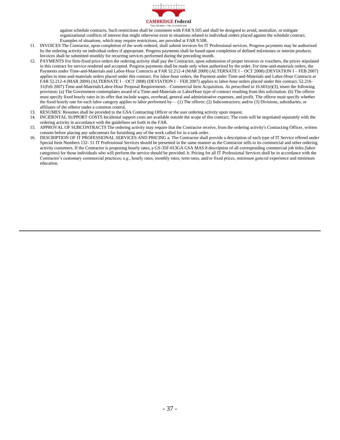

against schedule contracts. Such restrictions shall be consistent with FAR 9.505 and shall be designed to avoid, neutralize, or mitigate organizational conflicts of interest that might otherwise exist in situations related to individual orders placed against the schedule contract. Examples of situations, which may require restrictions, are provided at FAR 9.508.

- 11. INVOICES The Contractor, upon completion of the work ordered, shall submit invoices for IT Professional services. Progress payments may be authorized by the ordering activity on individual orders if appropriate. Progress payments shall be based upon completion of defined milestones or interim products. Invoices shall be submitted monthly for recurring services performed during the preceding month.
- 12. PAYMENTS For firm-fixed price orders the ordering activity shall pay the Contractor, upon submission of proper invoices or vouchers, the prices stipulated in this contract for service rendered and accepted. Progress payments shall be made only when authorized by the order. For time-and-materials orders, the Payments under Time-and-Materials and Labor-Hour Contracts at FAR 52.212-4 (MAR 2009) (ALTERNATE I – OCT 2008) (DEVIATION I – FEB 2007) applies to time-and-materials orders placed under this contract. For labor-hour orders, the Payment under Time-and-Materials and Labor-Hour Contracts at FAR 52.212-4 (MAR 2009) (ALTERNATE I – OCT 2008) (DEVIATION I – FEB 2007) applies to labor-hour orders placed under this contract. 52.216- 31(Feb 2007) Time-and-Materials/Labor-Hour Proposal Requirements—Commercial Item Acquisition. As prescribed in 16.601(e)(3), insert the following provision: (a) The Government contemplates award of a Time-and-Materials or LaborHour type of contract resulting from this solicitation. (b) The offeror must specify fixed hourly rates in its offer that include wages, overhead, general and administrative expenses, and profit. The offeror must specify whether the fixed hourly rate for each labor category applies to labor performed by—(1) The offeror; (2) Subcontractors; and/or (3) Divisions, subsidiaries, or affiliates of the offeror under a common control.
- 13. RESUMES: Resumes shall be provided to the GSA Contracting Officer or the user ordering activity upon request.
- 14. INCIDENTAL SUPPORT COSTS Incidental support costs are available outside the scope of this contract. The costs will be negotiated separately with the ordering activity in accordance with the guidelines set forth in the FAR.
- 15. APPROVAL OF SUBCONTRACTS The ordering activity may require that the Contractor receive, from the ordering activity's Contracting Officer, written consent before placing any subcontract for furnishing any of the work called for in a task order.
- 16. DESCRIPTION OF IT PROFESSIONAL SERVICES AND PRICING a. The Contractor shall provide a description of each type of IT Service offered under Special Item Numbers 132- 51 IT Professional Services should be presented in the same manner as the Contractor sells to its commercial and other ordering activity customers. If the Contractor is proposing hourly rates, a GS-35F-013GA GSA MAS 8 description of all corresponding commercial job titles (labor categories) for those individuals who will perform the service should be provided. b. Pricing for all IT Professional Services shall be in accordance with the Contractor's customary commercial practices; e.g., hourly rates, monthly rates, term rates, and/or fixed prices, minimum general experience and minimum education.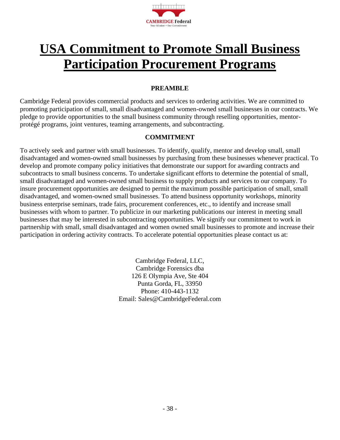

## <span id="page-37-0"></span>**USA Commitment to Promote Small Business Participation Procurement Programs**

#### **PREAMBLE**

Cambridge Federal provides commercial products and services to ordering activities. We are committed to promoting participation of small, small disadvantaged and women-owned small businesses in our contracts. We pledge to provide opportunities to the small business community through reselling opportunities, mentorprotégé programs, joint ventures, teaming arrangements, and subcontracting.

#### **COMMITMENT**

To actively seek and partner with small businesses. To identify, qualify, mentor and develop small, small disadvantaged and women-owned small businesses by purchasing from these businesses whenever practical. To develop and promote company policy initiatives that demonstrate our support for awarding contracts and subcontracts to small business concerns. To undertake significant efforts to determine the potential of small, small disadvantaged and women-owned small business to supply products and services to our company. To insure procurement opportunities are designed to permit the maximum possible participation of small, small disadvantaged, and women-owned small businesses. To attend business opportunity workshops, minority business enterprise seminars, trade fairs, procurement conferences, etc., to identify and increase small businesses with whom to partner. To publicize in our marketing publications our interest in meeting small businesses that may be interested in subcontracting opportunities. We signify our commitment to work in partnership with small, small disadvantaged and women owned small businesses to promote and increase their participation in ordering activity contracts. To accelerate potential opportunities please contact us at:

> Cambridge Federal, LLC, Cambridge Forensics dba 126 E Olympia Ave, Ste 404 Punta Gorda, FL, 33950 Phone: 410-443-1132 Email: Sales@CambridgeFederal.com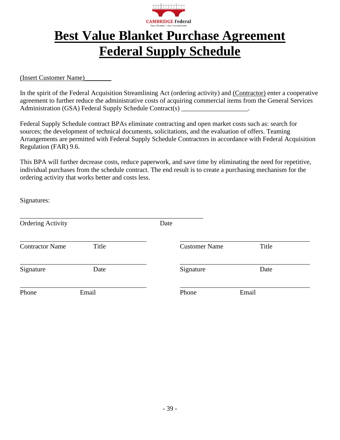

## <span id="page-38-0"></span>**Best Value Blanket Purchase Agreement Federal Supply Schedule**

<span id="page-38-1"></span>(Insert Customer Name)\_\_\_\_\_\_\_\_

In the spirit of the Federal Acquisition Streamlining Act (ordering activity) and (Contractor) enter a cooperative agreement to further reduce the administrative costs of acquiring commercial items from the General Services Administration (GSA) Federal Supply Schedule Contract(s) \_\_\_\_\_\_\_\_\_\_\_\_\_\_\_\_\_\_\_.

Federal Supply Schedule contract BPAs eliminate contracting and open market costs such as: search for sources; the development of technical documents, solicitations, and the evaluation of offers. Teaming Arrangements are permitted with Federal Supply Schedule Contractors in accordance with Federal Acquisition Regulation (FAR) 9.6.

This BPA will further decrease costs, reduce paperwork, and save time by eliminating the need for repetitive, individual purchases from the schedule contract. The end result is to create a purchasing mechanism for the ordering activity that works better and costs less.

Signatures:

| <b>Ordering Activity</b> |       | Date |                      |       |
|--------------------------|-------|------|----------------------|-------|
| <b>Contractor Name</b>   | Title |      | <b>Customer Name</b> | Title |
| Signature                | Date  |      | Signature            | Date  |
| Phone                    | Email |      | Phone                | Email |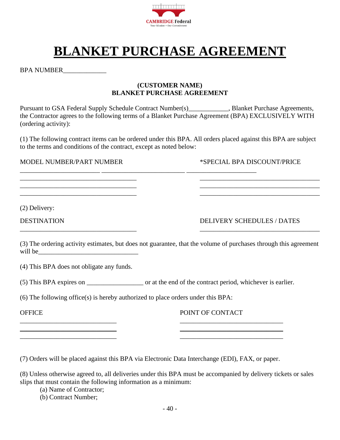

## **BLANKET PURCHASE AGREEMENT**

<span id="page-39-0"></span>BPA NUMBER\_\_\_\_\_\_\_\_\_\_\_\_\_

#### **(CUSTOMER NAME) BLANKET PURCHASE AGREEMENT**

Pursuant to GSA Federal Supply Schedule Contract Number(s)\_\_\_\_\_\_\_\_\_\_\_, Blanket Purchase Agreements, the Contractor agrees to the following terms of a Blanket Purchase Agreement (BPA) EXCLUSIVELY WITH (ordering activity):

(1) The following contract items can be ordered under this BPA. All orders placed against this BPA are subject to the terms and conditions of the contract, except as noted below:

\_\_\_\_\_\_\_\_\_\_\_\_\_\_\_\_\_\_\_\_\_\_\_\_\_\_\_\_\_\_\_\_\_\_\_ \_\_\_\_\_\_\_\_\_\_\_\_\_\_\_\_\_\_\_\_\_\_\_\_\_\_\_\_\_\_\_\_\_\_\_\_  $\overline{\phantom{a}}$  , and the contribution of the contribution of the contribution of the contribution of the contribution of the contribution of the contribution of the contribution of the contribution of the contribution of the \_\_\_\_\_\_\_\_\_\_\_\_\_\_\_\_\_\_\_\_\_\_\_\_\_\_\_\_\_\_\_\_\_\_\_ \_\_\_\_\_\_\_\_\_\_\_\_\_\_\_\_\_\_\_\_\_\_\_\_\_\_\_\_\_\_\_\_\_\_\_\_

\_\_\_\_\_\_\_\_\_\_\_\_\_\_\_\_\_\_\_\_\_\_\_\_ \_\_\_\_\_\_\_\_\_\_\_\_\_\_\_\_\_\_\_\_\_\_\_\_\_ \_\_\_\_\_\_\_\_\_\_\_\_\_\_\_\_\_\_\_\_\_

MODEL NUMBER/PART NUMBER \*SPECIAL BPA DISCOUNT/PRICE

(2) Delivery:

DESTINATION DELIVERY SCHEDULES / DATES

(3) The ordering activity estimates, but does not guarantee, that the volume of purchases through this agreement will be

\_\_\_\_\_\_\_\_\_\_\_\_\_\_\_\_\_\_\_\_\_\_\_\_\_\_\_\_\_\_\_\_\_\_\_ \_\_\_\_\_\_\_\_\_\_\_\_\_\_\_\_\_\_\_\_\_\_\_\_\_\_\_\_\_\_\_\_\_\_\_\_

(4) This BPA does not obligate any funds.

(5) This BPA expires on  $\qquad \qquad$  or at the end of the contract period, whichever is earlier.

(6) The following office(s) is hereby authorized to place orders under this BPA:

OFFICE THE POINT OF CONTACT

(7) Orders will be placed against this BPA via Electronic Data Interchange (EDI), FAX, or paper.

 $\overline{\phantom{a}}$  , and the contract of the contract of the contract of the contract of the contract of the contract of the contract of the contract of the contract of the contract of the contract of the contract of the contrac \_\_\_\_\_\_\_\_\_\_\_\_\_\_\_\_\_\_\_\_\_\_\_\_\_\_\_\_\_ \_\_\_\_\_\_\_\_\_\_\_\_\_\_\_\_\_\_\_\_\_\_\_\_\_\_\_\_\_\_\_  $\overline{\phantom{a}}$  , and the contract of the contract of the contract of the contract of the contract of the contract of the contract of the contract of the contract of the contract of the contract of the contract of the contrac

(8) Unless otherwise agreed to, all deliveries under this BPA must be accompanied by delivery tickets or sales slips that must contain the following information as a minimum:

(a) Name of Contractor;

(b) Contract Number;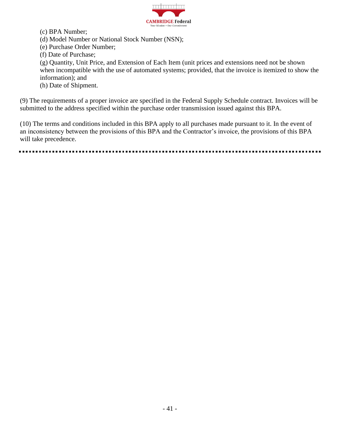

(c) BPA Number;

- (d) Model Number or National Stock Number (NSN);
- (e) Purchase Order Number;
- (f) Date of Purchase;

(g) Quantity, Unit Price, and Extension of Each Item (unit prices and extensions need not be shown when incompatible with the use of automated systems; provided, that the invoice is itemized to show the information); and

(h) Date of Shipment.

(9) The requirements of a proper invoice are specified in the Federal Supply Schedule contract. Invoices will be submitted to the address specified within the purchase order transmission issued against this BPA.

(10) The terms and conditions included in this BPA apply to all purchases made pursuant to it. In the event of an inconsistency between the provisions of this BPA and the Contractor's invoice, the provisions of this BPA will take precedence.